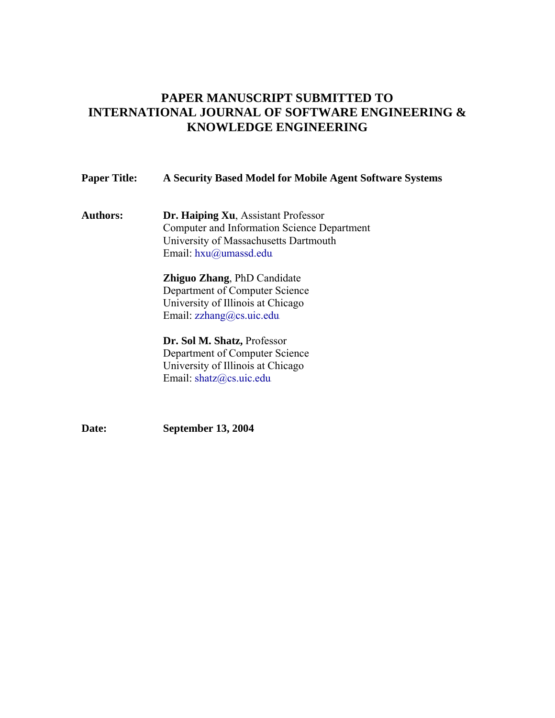# **PAPER MANUSCRIPT SUBMITTED TO INTERNATIONAL JOURNAL OF SOFTWARE ENGINEERING & KNOWLEDGE ENGINEERING**

### **Paper Title: A Security Based Model for Mobile Agent Software Systems**

**Authors: Dr. Haiping Xu**, Assistant Professor Computer and Information Science Department University of Massachusetts Dartmouth Email: hxu@umassd.edu

> **Zhiguo Zhang**, PhD Candidate Department of Computer Science University of Illinois at Chicago Email: zzhang@cs.uic.edu

> **Dr. Sol M. Shatz,** Professor Department of Computer Science University of Illinois at Chicago Email: shatz@cs.uic.edu

**Date: September 13, 2004**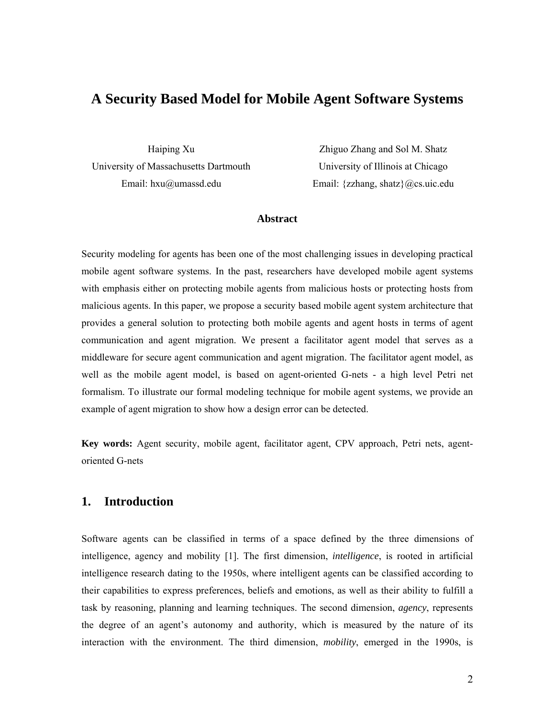# **A Security Based Model for Mobile Agent Software Systems**

Haiping Xu University of Massachusetts Dartmouth Email: hxu@umassd.edu

Zhiguo Zhang and Sol M. Shatz University of Illinois at Chicago Email: {zzhang, shatz}@cs.uic.edu

### **Abstract**

Security modeling for agents has been one of the most challenging issues in developing practical mobile agent software systems. In the past, researchers have developed mobile agent systems with emphasis either on protecting mobile agents from malicious hosts or protecting hosts from malicious agents. In this paper, we propose a security based mobile agent system architecture that provides a general solution to protecting both mobile agents and agent hosts in terms of agent communication and agent migration. We present a facilitator agent model that serves as a middleware for secure agent communication and agent migration. The facilitator agent model, as well as the mobile agent model, is based on agent-oriented G-nets - a high level Petri net formalism. To illustrate our formal modeling technique for mobile agent systems, we provide an example of agent migration to show how a design error can be detected.

**Key words:** Agent security, mobile agent, facilitator agent, CPV approach, Petri nets, agentoriented G-nets

## **1. Introduction**

Software agents can be classified in terms of a space defined by the three dimensions of intelligence, agency and mobility [1]. The first dimension, *intelligence*, is rooted in artificial intelligence research dating to the 1950s, where intelligent agents can be classified according to their capabilities to express preferences, beliefs and emotions, as well as their ability to fulfill a task by reasoning, planning and learning techniques. The second dimension, *agency*, represents the degree of an agent's autonomy and authority, which is measured by the nature of its interaction with the environment. The third dimension, *mobility*, emerged in the 1990s, is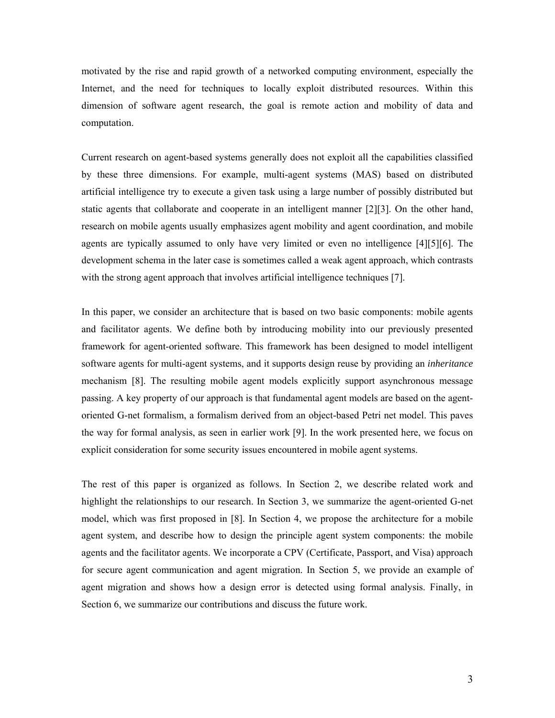motivated by the rise and rapid growth of a networked computing environment, especially the Internet, and the need for techniques to locally exploit distributed resources. Within this dimension of software agent research, the goal is remote action and mobility of data and computation.

Current research on agent-based systems generally does not exploit all the capabilities classified by these three dimensions. For example, multi-agent systems (MAS) based on distributed artificial intelligence try to execute a given task using a large number of possibly distributed but static agents that collaborate and cooperate in an intelligent manner [2][3]. On the other hand, research on mobile agents usually emphasizes agent mobility and agent coordination, and mobile agents are typically assumed to only have very limited or even no intelligence [4][5][6]. The development schema in the later case is sometimes called a weak agent approach, which contrasts with the strong agent approach that involves artificial intelligence techniques [7].

In this paper, we consider an architecture that is based on two basic components: mobile agents and facilitator agents. We define both by introducing mobility into our previously presented framework for agent-oriented software. This framework has been designed to model intelligent software agents for multi-agent systems, and it supports design reuse by providing an *inheritance* mechanism [8]. The resulting mobile agent models explicitly support asynchronous message passing. A key property of our approach is that fundamental agent models are based on the agentoriented G-net formalism, a formalism derived from an object-based Petri net model. This paves the way for formal analysis, as seen in earlier work [9]. In the work presented here, we focus on explicit consideration for some security issues encountered in mobile agent systems.

The rest of this paper is organized as follows. In Section 2, we describe related work and highlight the relationships to our research. In Section 3, we summarize the agent-oriented G-net model, which was first proposed in [8]. In Section 4, we propose the architecture for a mobile agent system, and describe how to design the principle agent system components: the mobile agents and the facilitator agents. We incorporate a CPV (Certificate, Passport, and Visa) approach for secure agent communication and agent migration. In Section 5, we provide an example of agent migration and shows how a design error is detected using formal analysis. Finally, in Section 6, we summarize our contributions and discuss the future work.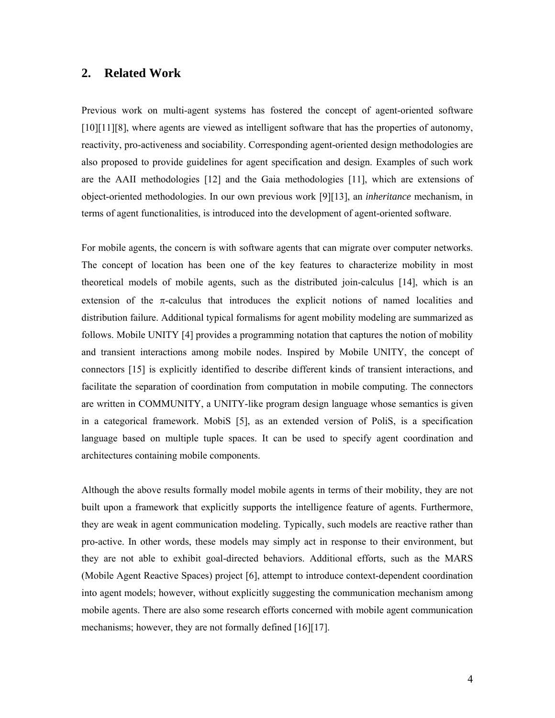## **2. Related Work**

Previous work on multi-agent systems has fostered the concept of agent-oriented software [10][11][8], where agents are viewed as intelligent software that has the properties of autonomy, reactivity, pro-activeness and sociability. Corresponding agent-oriented design methodologies are also proposed to provide guidelines for agent specification and design. Examples of such work are the AAII methodologies [12] and the Gaia methodologies [11], which are extensions of object-oriented methodologies. In our own previous work [9][13], an *inheritance* mechanism, in terms of agent functionalities, is introduced into the development of agent-oriented software.

For mobile agents, the concern is with software agents that can migrate over computer networks. The concept of location has been one of the key features to characterize mobility in most theoretical models of mobile agents, such as the distributed join-calculus [14], which is an extension of the  $\pi$ -calculus that introduces the explicit notions of named localities and distribution failure. Additional typical formalisms for agent mobility modeling are summarized as follows. Mobile UNITY [4] provides a programming notation that captures the notion of mobility and transient interactions among mobile nodes. Inspired by Mobile UNITY, the concept of connectors [15] is explicitly identified to describe different kinds of transient interactions, and facilitate the separation of coordination from computation in mobile computing. The connectors are written in COMMUNITY, a UNITY-like program design language whose semantics is given in a categorical framework. MobiS [5], as an extended version of PoliS, is a specification language based on multiple tuple spaces. It can be used to specify agent coordination and architectures containing mobile components.

Although the above results formally model mobile agents in terms of their mobility, they are not built upon a framework that explicitly supports the intelligence feature of agents. Furthermore, they are weak in agent communication modeling. Typically, such models are reactive rather than pro-active. In other words, these models may simply act in response to their environment, but they are not able to exhibit goal-directed behaviors. Additional efforts, such as the MARS (Mobile Agent Reactive Spaces) project [6], attempt to introduce context-dependent coordination into agent models; however, without explicitly suggesting the communication mechanism among mobile agents. There are also some research efforts concerned with mobile agent communication mechanisms; however, they are not formally defined [16][17].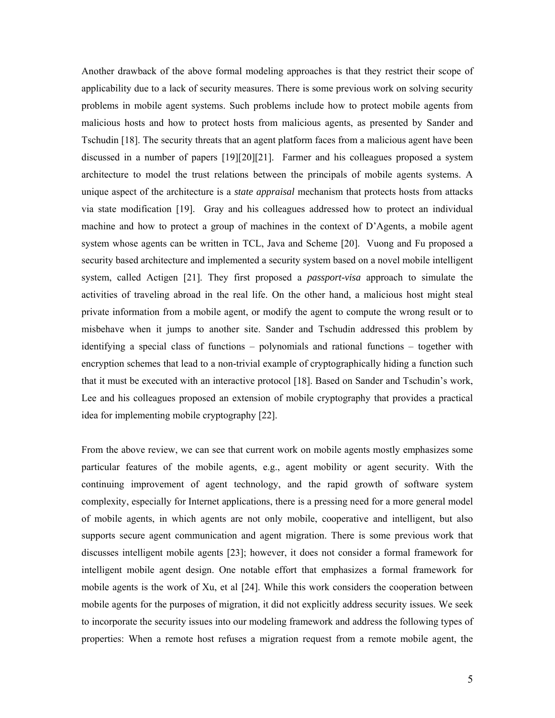Another drawback of the above formal modeling approaches is that they restrict their scope of applicability due to a lack of security measures. There is some previous work on solving security problems in mobile agent systems. Such problems include how to protect mobile agents from malicious hosts and how to protect hosts from malicious agents, as presented by Sander and Tschudin [18]. The security threats that an agent platform faces from a malicious agent have been discussed in a number of papers [19][20][21]. Farmer and his colleagues proposed a system architecture to model the trust relations between the principals of mobile agents systems. A unique aspect of the architecture is a *state appraisal* mechanism that protects hosts from attacks via state modification [19]. Gray and his colleagues addressed how to protect an individual machine and how to protect a group of machines in the context of D'Agents, a mobile agent system whose agents can be written in TCL, Java and Scheme [20]. Vuong and Fu proposed a security based architecture and implemented a security system based on a novel mobile intelligent system, called Actigen [21]. They first proposed a *passport-visa* approach to simulate the activities of traveling abroad in the real life. On the other hand, a malicious host might steal private information from a mobile agent, or modify the agent to compute the wrong result or to misbehave when it jumps to another site. Sander and Tschudin addressed this problem by identifying a special class of functions – polynomials and rational functions – together with encryption schemes that lead to a non-trivial example of cryptographically hiding a function such that it must be executed with an interactive protocol [18]. Based on Sander and Tschudin's work, Lee and his colleagues proposed an extension of mobile cryptography that provides a practical idea for implementing mobile cryptography [22].

From the above review, we can see that current work on mobile agents mostly emphasizes some particular features of the mobile agents, e.g., agent mobility or agent security. With the continuing improvement of agent technology, and the rapid growth of software system complexity, especially for Internet applications, there is a pressing need for a more general model of mobile agents, in which agents are not only mobile, cooperative and intelligent, but also supports secure agent communication and agent migration. There is some previous work that discusses intelligent mobile agents [23]; however, it does not consider a formal framework for intelligent mobile agent design. One notable effort that emphasizes a formal framework for mobile agents is the work of Xu, et al [24]. While this work considers the cooperation between mobile agents for the purposes of migration, it did not explicitly address security issues. We seek to incorporate the security issues into our modeling framework and address the following types of properties: When a remote host refuses a migration request from a remote mobile agent, the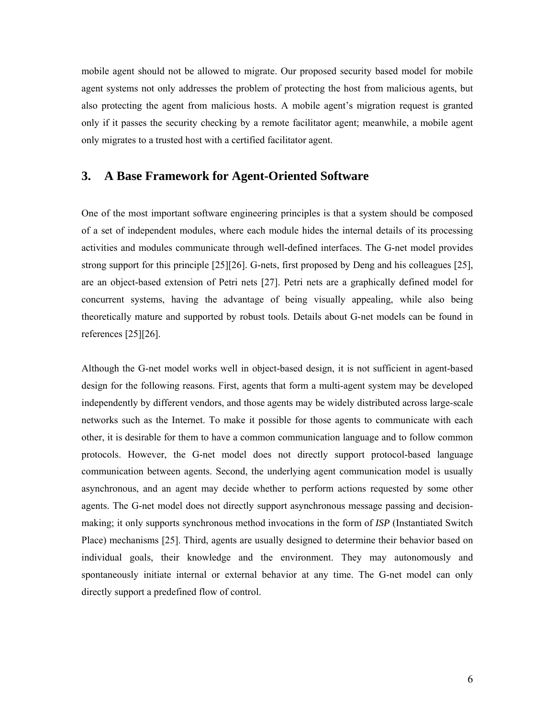mobile agent should not be allowed to migrate. Our proposed security based model for mobile agent systems not only addresses the problem of protecting the host from malicious agents, but also protecting the agent from malicious hosts. A mobile agent's migration request is granted only if it passes the security checking by a remote facilitator agent; meanwhile, a mobile agent only migrates to a trusted host with a certified facilitator agent.

## **3. A Base Framework for Agent-Oriented Software**

One of the most important software engineering principles is that a system should be composed of a set of independent modules, where each module hides the internal details of its processing activities and modules communicate through well-defined interfaces. The G-net model provides strong support for this principle [25][26]. G-nets, first proposed by Deng and his colleagues [25], are an object-based extension of Petri nets [27]. Petri nets are a graphically defined model for concurrent systems, having the advantage of being visually appealing, while also being theoretically mature and supported by robust tools. Details about G-net models can be found in references [25][26].

Although the G-net model works well in object-based design, it is not sufficient in agent-based design for the following reasons. First, agents that form a multi-agent system may be developed independently by different vendors, and those agents may be widely distributed across large-scale networks such as the Internet. To make it possible for those agents to communicate with each other, it is desirable for them to have a common communication language and to follow common protocols. However, the G-net model does not directly support protocol-based language communication between agents. Second, the underlying agent communication model is usually asynchronous, and an agent may decide whether to perform actions requested by some other agents. The G-net model does not directly support asynchronous message passing and decisionmaking; it only supports synchronous method invocations in the form of *ISP* (Instantiated Switch Place) mechanisms [25]. Third, agents are usually designed to determine their behavior based on individual goals, their knowledge and the environment. They may autonomously and spontaneously initiate internal or external behavior at any time. The G-net model can only directly support a predefined flow of control.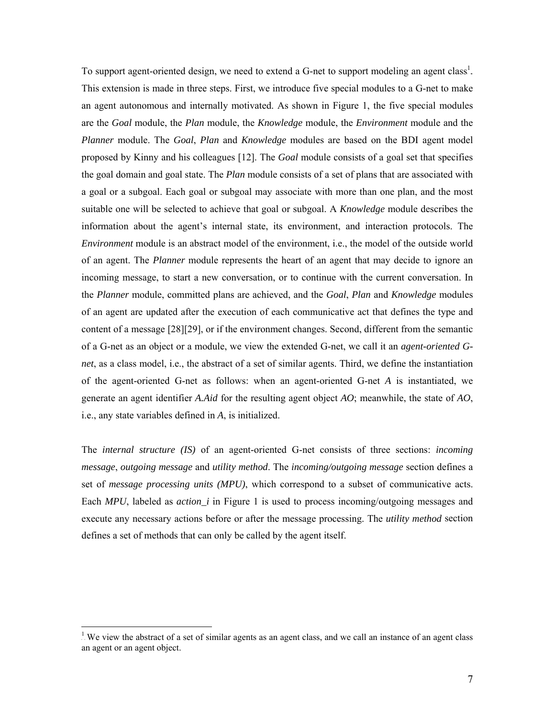To support agent-oriented design, we need to extend a G-net to support modeling an agent class<sup>[1](#page-6-0)</sup>. This extension is made in three steps. First, we introduce five special modules to a G-net to make an agent autonomous and internally motivated. As shown in Figure 1, the five special modules are the *Goal* module, the *Plan* module, the *Knowledge* module, the *Environment* module and the *Planner* module. The *Goal*, *Plan* and *Knowledge* modules are based on the BDI agent model proposed by Kinny and his colleagues [12]. The *Goal* module consists of a goal set that specifies the goal domain and goal state. The *Plan* module consists of a set of plans that are associated with a goal or a subgoal. Each goal or subgoal may associate with more than one plan, and the most suitable one will be selected to achieve that goal or subgoal. A *Knowledge* module describes the information about the agent's internal state, its environment, and interaction protocols. The *Environment* module is an abstract model of the environment, i.e., the model of the outside world of an agent. The *Planner* module represents the heart of an agent that may decide to ignore an incoming message, to start a new conversation, or to continue with the current conversation. In the *Planner* module, committed plans are achieved, and the *Goal*, *Plan* and *Knowledge* modules of an agent are updated after the execution of each communicative act that defines the type and content of a message [28][29], or if the environment changes. Second, different from the semantic of a G-net as an object or a module, we view the extended G-net, we call it an *agent-oriented Gnet*, as a class model, i.e., the abstract of a set of similar agents. Third, we define the instantiation of the agent-oriented G-net as follows: when an agent-oriented G-net *A* is instantiated, we generate an agent identifier *A.Aid* for the resulting agent object *AO*; meanwhile, the state of *AO*, i.e., any state variables defined in *A*, is initialized.

The *internal structure (IS)* of an agent-oriented G-net consists of three sections: *incoming message*, *outgoing message* and *utility method*. The *incoming/outgoing message* section defines a set of *message processing units (MPU)*, which correspond to a subset of communicative acts. Each *MPU*, labeled as *action\_i* in Figure 1 is used to process incoming/outgoing messages and execute any necessary actions before or after the message processing. The *utility method* section defines a set of methods that can only be called by the agent itself.

 $\overline{a}$ 

<span id="page-6-0"></span><sup>&</sup>lt;sup>1</sup>. We view the abstract of a set of similar agents as an agent class, and we call an instance of an agent class an agent or an agent object.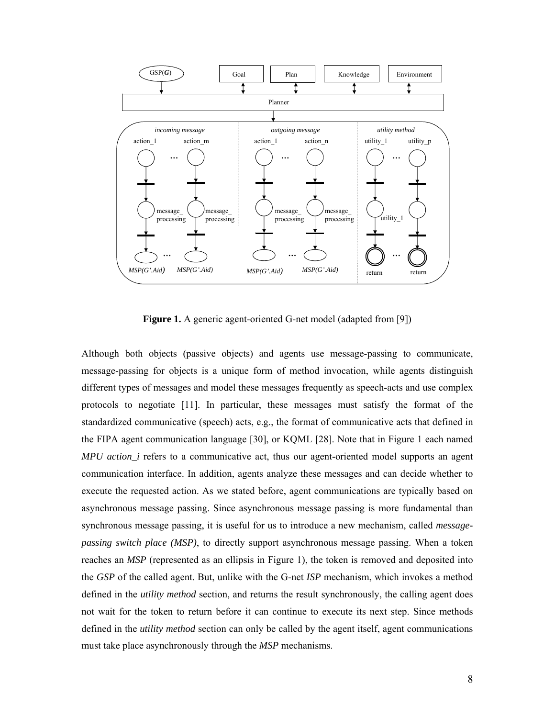

**Figure 1.** A generic agent-oriented G-net model (adapted from [9])

Although both objects (passive objects) and agents use message-passing to communicate, message-passing for objects is a unique form of method invocation, while agents distinguish different types of messages and model these messages frequently as speech-acts and use complex protocols to negotiate [11]. In particular, these messages must satisfy the format of the standardized communicative (speech) acts, e.g., the format of communicative acts that defined in the FIPA agent communication language [30], or KQML [28]. Note that in Figure 1 each named *MPU action\_i* refers to a communicative act, thus our agent-oriented model supports an agent communication interface. In addition, agents analyze these messages and can decide whether to execute the requested action. As we stated before, agent communications are typically based on asynchronous message passing. Since asynchronous message passing is more fundamental than synchronous message passing, it is useful for us to introduce a new mechanism, called *messagepassing switch place (MSP)*, to directly support asynchronous message passing. When a token reaches an *MSP* (represented as an ellipsis in Figure 1), the token is removed and deposited into the *GSP* of the called agent. But, unlike with the G-net *ISP* mechanism, which invokes a method defined in the *utility method* section, and returns the result synchronously, the calling agent does not wait for the token to return before it can continue to execute its next step. Since methods defined in the *utility method* section can only be called by the agent itself, agent communications must take place asynchronously through the *MSP* mechanisms.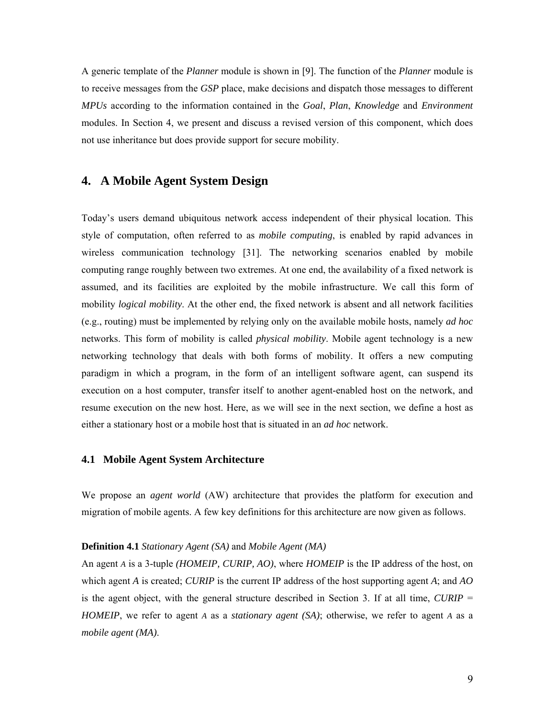A generic template of the *Planner* module is shown in [9]. The function of the *Planner* module is to receive messages from the *GSP* place, make decisions and dispatch those messages to different *MPUs* according to the information contained in the *Goal*, *Plan*, *Knowledge* and *Environment* modules. In Section 4, we present and discuss a revised version of this component, which does not use inheritance but does provide support for secure mobility.

## **4. A Mobile Agent System Design**

Today's users demand ubiquitous network access independent of their physical location. This style of computation, often referred to as *mobile computing*, is enabled by rapid advances in wireless communication technology [31]. The networking scenarios enabled by mobile computing range roughly between two extremes. At one end, the availability of a fixed network is assumed, and its facilities are exploited by the mobile infrastructure. We call this form of mobility *logical mobility*. At the other end, the fixed network is absent and all network facilities (e.g., routing) must be implemented by relying only on the available mobile hosts, namely *ad hoc* networks. This form of mobility is called *physical mobility*. Mobile agent technology is a new networking technology that deals with both forms of mobility. It offers a new computing paradigm in which a program, in the form of an intelligent software agent, can suspend its execution on a host computer, transfer itself to another agent-enabled host on the network, and resume execution on the new host. Here, as we will see in the next section, we define a host as either a stationary host or a mobile host that is situated in an *ad hoc* network.

#### **4.1 Mobile Agent System Architecture**

We propose an *agent world* (AW) architecture that provides the platform for execution and migration of mobile agents. A few key definitions for this architecture are now given as follows.

#### **Definition 4.1** *Stationary Agent (SA)* and *Mobile Agent (MA)*

An agent *A* is a 3-tuple *(HOMEIP, CURIP, AO)*, where *HOMEIP* is the IP address of the host, on which agent *A* is created; *CURIP* is the current IP address of the host supporting agent *A*; and *AO* is the agent object, with the general structure described in Section 3. If at all time, *CURIP* = *HOMEIP*, we refer to agent *A* as a *stationary agent (SA)*; otherwise, we refer to agent *A* as a *mobile agent (MA)*.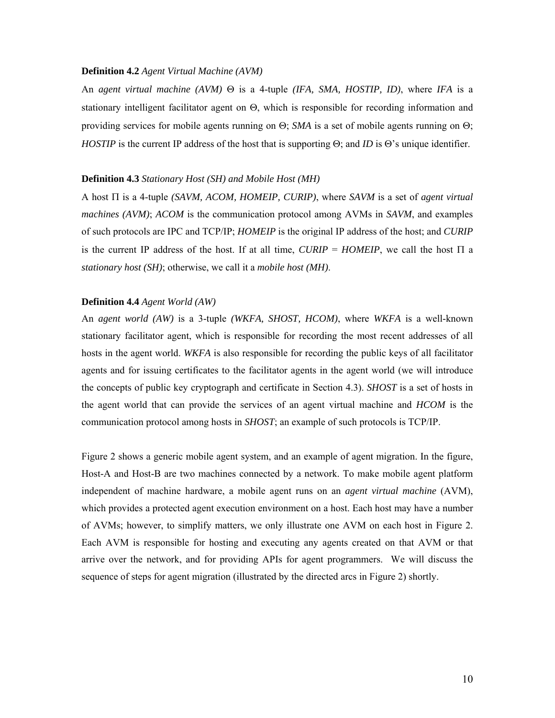#### **Definition 4.2** *Agent Virtual Machine (AVM)*

An *agent virtual machine (AVM)* Θ is a 4-tuple *(IFA, SMA, HOSTIP, ID)*, where *IFA* is a stationary intelligent facilitator agent on Θ, which is responsible for recording information and providing services for mobile agents running on Θ; *SMA* is a set of mobile agents running on Θ; *HOSTIP* is the current IP address of the host that is supporting  $Θ$ ; and *ID* is  $Θ$ 's unique identifier.

#### **Definition 4.3** *Stationary Host (SH) and Mobile Host (MH)*

A host Π is a 4-tuple *(SAVM, ACOM, HOMEIP, CURIP)*, where *SAVM* is a set of *agent virtual machines (AVM)*; *ACOM* is the communication protocol among AVMs in *SAVM*, and examples of such protocols are IPC and TCP/IP; *HOMEIP* is the original IP address of the host; and *CURIP* is the current IP address of the host. If at all time,  $CURIP = HOMEIP$ , we call the host  $\Pi$  a *stationary host (SH)*; otherwise, we call it a *mobile host (MH)*.

#### **Definition 4.4** *Agent World (AW)*

An *agent world (AW)* is a 3-tuple *(WKFA, SHOST, HCOM)*, where *WKFA* is a well-known stationary facilitator agent, which is responsible for recording the most recent addresses of all hosts in the agent world. *WKFA* is also responsible for recording the public keys of all facilitator agents and for issuing certificates to the facilitator agents in the agent world (we will introduce the concepts of public key cryptograph and certificate in Section 4.3). *SHOST* is a set of hosts in the agent world that can provide the services of an agent virtual machine and *HCOM* is the communication protocol among hosts in *SHOST*; an example of such protocols is TCP/IP.

Figure 2 shows a generic mobile agent system, and an example of agent migration. In the figure, Host-A and Host-B are two machines connected by a network. To make mobile agent platform independent of machine hardware, a mobile agent runs on an *agent virtual machine* (AVM), which provides a protected agent execution environment on a host. Each host may have a number of AVMs; however, to simplify matters, we only illustrate one AVM on each host in Figure 2. Each AVM is responsible for hosting and executing any agents created on that AVM or that arrive over the network, and for providing APIs for agent programmers. We will discuss the sequence of steps for agent migration (illustrated by the directed arcs in Figure 2) shortly.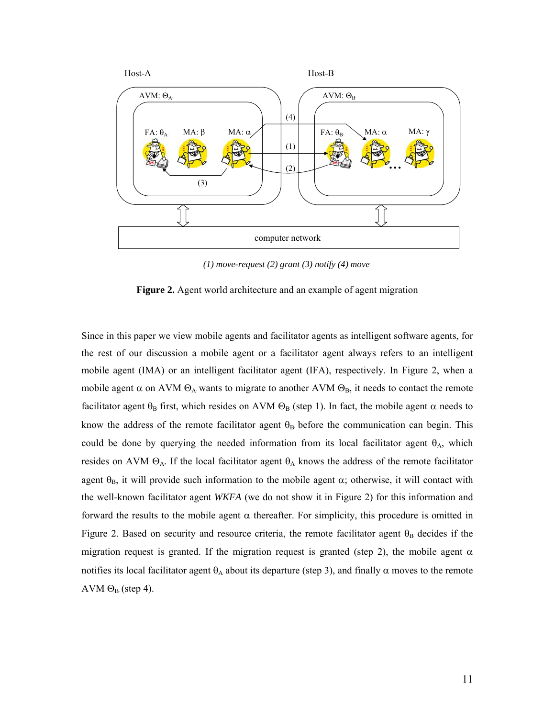

*(1) move-request (2) grant (3) notify (4) move* 

**Figure 2.** Agent world architecture and an example of agent migration

Since in this paper we view mobile agents and facilitator agents as intelligent software agents, for the rest of our discussion a mobile agent or a facilitator agent always refers to an intelligent mobile agent (IMA) or an intelligent facilitator agent (IFA), respectively. In Figure 2, when a mobile agent  $\alpha$  on AVM  $\Theta_A$  wants to migrate to another AVM  $\Theta_B$ , it needs to contact the remote facilitator agent  $\theta_B$  first, which resides on AVM  $\Theta_B$  (step 1). In fact, the mobile agent  $\alpha$  needs to know the address of the remote facilitator agent  $\theta_B$  before the communication can begin. This could be done by querying the needed information from its local facilitator agent  $\theta_A$ , which resides on AVM  $\Theta_A$ . If the local facilitator agent  $\Theta_A$  knows the address of the remote facilitator agent  $\theta_B$ , it will provide such information to the mobile agent  $\alpha$ ; otherwise, it will contact with the well-known facilitator agent *WKFA* (we do not show it in Figure 2) for this information and forward the results to the mobile agent  $\alpha$  thereafter. For simplicity, this procedure is omitted in Figure 2. Based on security and resource criteria, the remote facilitator agent  $\theta_B$  decides if the migration request is granted. If the migration request is granted (step 2), the mobile agent  $\alpha$ notifies its local facilitator agent  $\theta_A$  about its departure (step 3), and finally  $\alpha$  moves to the remote  $AVM \Theta_B$  (step 4).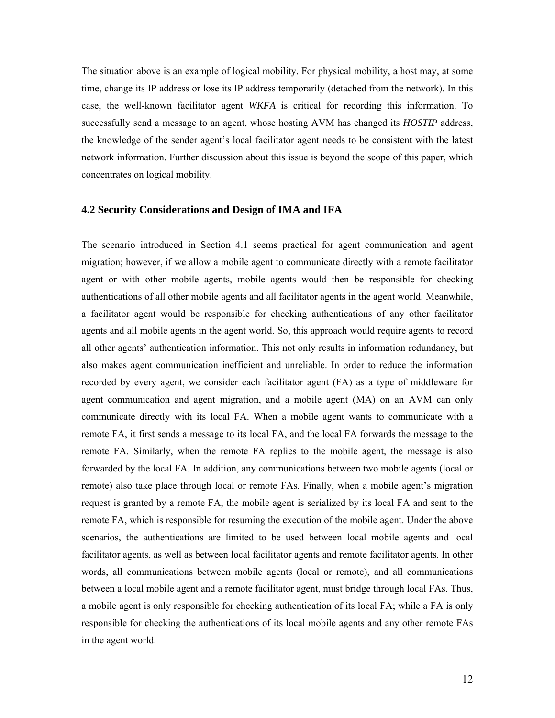The situation above is an example of logical mobility. For physical mobility, a host may, at some time, change its IP address or lose its IP address temporarily (detached from the network). In this case, the well-known facilitator agent *WKFA* is critical for recording this information. To successfully send a message to an agent, whose hosting AVM has changed its *HOSTIP* address, the knowledge of the sender agent's local facilitator agent needs to be consistent with the latest network information. Further discussion about this issue is beyond the scope of this paper, which concentrates on logical mobility.

### **4.2 Security Considerations and Design of IMA and IFA**

The scenario introduced in Section 4.1 seems practical for agent communication and agent migration; however, if we allow a mobile agent to communicate directly with a remote facilitator agent or with other mobile agents, mobile agents would then be responsible for checking authentications of all other mobile agents and all facilitator agents in the agent world. Meanwhile, a facilitator agent would be responsible for checking authentications of any other facilitator agents and all mobile agents in the agent world. So, this approach would require agents to record all other agents' authentication information. This not only results in information redundancy, but also makes agent communication inefficient and unreliable. In order to reduce the information recorded by every agent, we consider each facilitator agent (FA) as a type of middleware for agent communication and agent migration, and a mobile agent (MA) on an AVM can only communicate directly with its local FA. When a mobile agent wants to communicate with a remote FA, it first sends a message to its local FA, and the local FA forwards the message to the remote FA. Similarly, when the remote FA replies to the mobile agent, the message is also forwarded by the local FA. In addition, any communications between two mobile agents (local or remote) also take place through local or remote FAs. Finally, when a mobile agent's migration request is granted by a remote FA, the mobile agent is serialized by its local FA and sent to the remote FA, which is responsible for resuming the execution of the mobile agent. Under the above scenarios, the authentications are limited to be used between local mobile agents and local facilitator agents, as well as between local facilitator agents and remote facilitator agents. In other words, all communications between mobile agents (local or remote), and all communications between a local mobile agent and a remote facilitator agent, must bridge through local FAs. Thus, a mobile agent is only responsible for checking authentication of its local FA; while a FA is only responsible for checking the authentications of its local mobile agents and any other remote FAs in the agent world.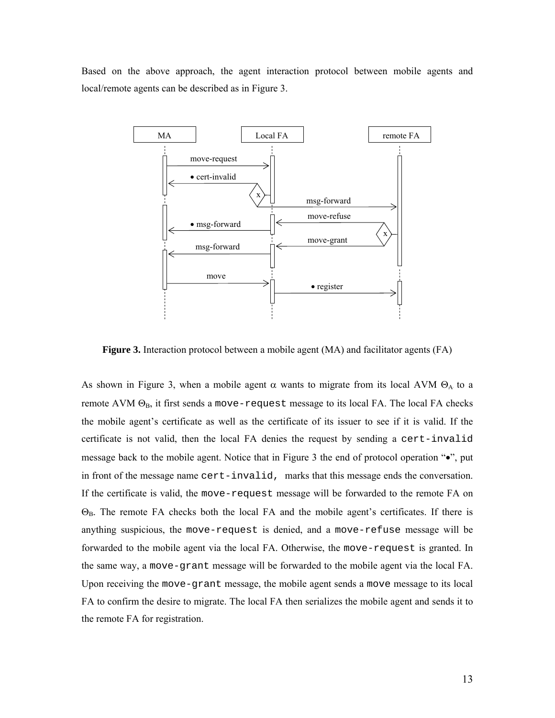Based on the above approach, the agent interaction protocol between mobile agents and local/remote agents can be described as in Figure 3.



**Figure 3.** Interaction protocol between a mobile agent (MA) and facilitator agents (FA)

As shown in Figure 3, when a mobile agent  $\alpha$  wants to migrate from its local AVM  $\Theta_A$  to a remote AVM  $\Theta_B$ , it first sends a move-request message to its local FA. The local FA checks the mobile agent's certificate as well as the certificate of its issuer to see if it is valid. If the certificate is not valid, then the local FA denies the request by sending a cert-invalid message back to the mobile agent. Notice that in Figure 3 the end of protocol operation "•", put in front of the message name cert-invalid, marks that this message ends the conversation. If the certificate is valid, the move-request message will be forwarded to the remote FA on  $\Theta_B$ . The remote FA checks both the local FA and the mobile agent's certificates. If there is anything suspicious, the move-request is denied, and a move-refuse message will be forwarded to the mobile agent via the local FA. Otherwise, the move-request is granted. In the same way, a move-grant message will be forwarded to the mobile agent via the local FA. Upon receiving the move-grant message, the mobile agent sends a move message to its local FA to confirm the desire to migrate. The local FA then serializes the mobile agent and sends it to the remote FA for registration.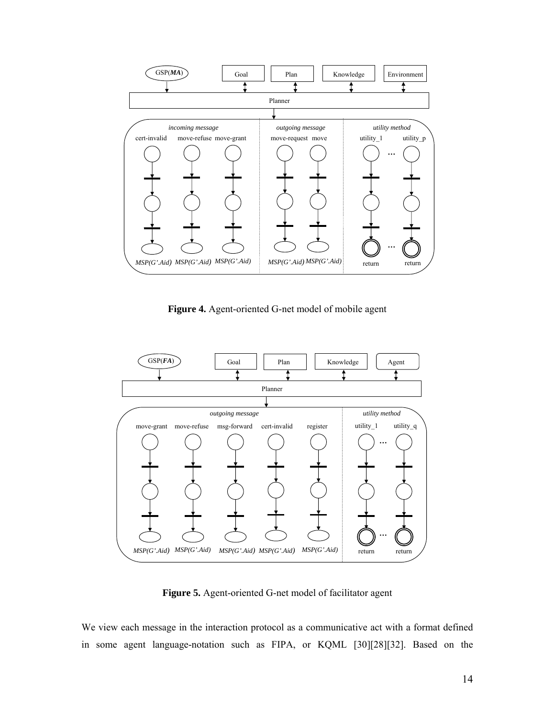

**Figure 4.** Agent-oriented G-net model of mobile agent



**Figure 5.** Agent-oriented G-net model of facilitator agent

We view each message in the interaction protocol as a communicative act with a format defined in some agent language-notation such as FIPA, or KQML [30][28][32]. Based on the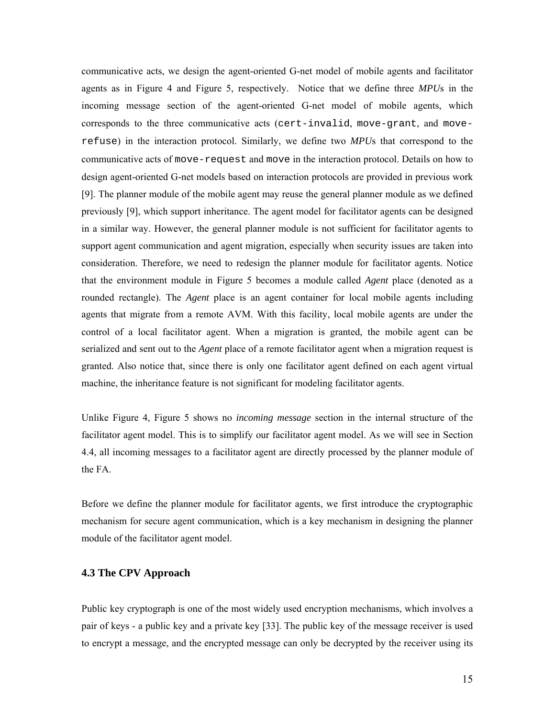communicative acts, we design the agent-oriented G-net model of mobile agents and facilitator agents as in Figure 4 and Figure 5, respectively. Notice that we define three *MPU*s in the incoming message section of the agent-oriented G-net model of mobile agents, which corresponds to the three communicative acts (cert-invalid, move-grant, and moverefuse) in the interaction protocol. Similarly, we define two *MPU*s that correspond to the communicative acts of move-request and move in the interaction protocol. Details on how to design agent-oriented G-net models based on interaction protocols are provided in previous work [9]. The planner module of the mobile agent may reuse the general planner module as we defined previously [9], which support inheritance. The agent model for facilitator agents can be designed in a similar way. However, the general planner module is not sufficient for facilitator agents to support agent communication and agent migration, especially when security issues are taken into consideration. Therefore, we need to redesign the planner module for facilitator agents. Notice that the environment module in Figure 5 becomes a module called *Agent* place (denoted as a rounded rectangle). The *Agent* place is an agent container for local mobile agents including agents that migrate from a remote AVM. With this facility, local mobile agents are under the control of a local facilitator agent. When a migration is granted, the mobile agent can be serialized and sent out to the *Agent* place of a remote facilitator agent when a migration request is granted. Also notice that, since there is only one facilitator agent defined on each agent virtual machine, the inheritance feature is not significant for modeling facilitator agents.

Unlike Figure 4, Figure 5 shows no *incoming message* section in the internal structure of the facilitator agent model. This is to simplify our facilitator agent model. As we will see in Section 4.4, all incoming messages to a facilitator agent are directly processed by the planner module of the FA.

Before we define the planner module for facilitator agents, we first introduce the cryptographic mechanism for secure agent communication, which is a key mechanism in designing the planner module of the facilitator agent model.

## **4.3 The CPV Approach**

Public key cryptograph is one of the most widely used encryption mechanisms, which involves a pair of keys - a public key and a private key [33]. The public key of the message receiver is used to encrypt a message, and the encrypted message can only be decrypted by the receiver using its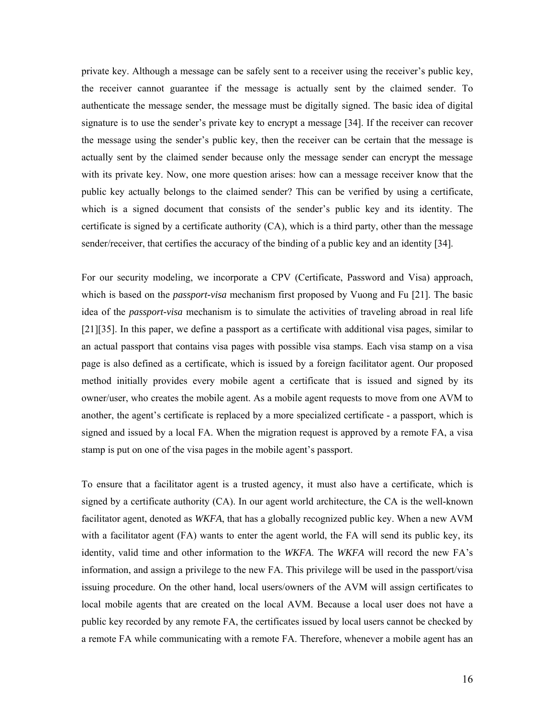private key. Although a message can be safely sent to a receiver using the receiver's public key, the receiver cannot guarantee if the message is actually sent by the claimed sender. To authenticate the message sender, the message must be digitally signed. The basic idea of digital signature is to use the sender's private key to encrypt a message [34]. If the receiver can recover the message using the sender's public key, then the receiver can be certain that the message is actually sent by the claimed sender because only the message sender can encrypt the message with its private key. Now, one more question arises: how can a message receiver know that the public key actually belongs to the claimed sender? This can be verified by using a certificate, which is a signed document that consists of the sender's public key and its identity. The certificate is signed by a certificate authority (CA), which is a third party, other than the message sender/receiver, that certifies the accuracy of the binding of a public key and an identity [34].

For our security modeling, we incorporate a CPV (Certificate, Password and Visa) approach, which is based on the *passport-visa* mechanism first proposed by Vuong and Fu [21]. The basic idea of the *passport-visa* mechanism is to simulate the activities of traveling abroad in real life [21][35]. In this paper, we define a passport as a certificate with additional visa pages, similar to an actual passport that contains visa pages with possible visa stamps. Each visa stamp on a visa page is also defined as a certificate, which is issued by a foreign facilitator agent. Our proposed method initially provides every mobile agent a certificate that is issued and signed by its owner/user, who creates the mobile agent. As a mobile agent requests to move from one AVM to another, the agent's certificate is replaced by a more specialized certificate - a passport, which is signed and issued by a local FA. When the migration request is approved by a remote FA, a visa stamp is put on one of the visa pages in the mobile agent's passport.

To ensure that a facilitator agent is a trusted agency, it must also have a certificate, which is signed by a certificate authority (CA). In our agent world architecture, the CA is the well-known facilitator agent, denoted as *WKFA*, that has a globally recognized public key. When a new AVM with a facilitator agent (FA) wants to enter the agent world, the FA will send its public key, its identity, valid time and other information to the *WKFA*. The *WKFA* will record the new FA's information, and assign a privilege to the new FA. This privilege will be used in the passport/visa issuing procedure. On the other hand, local users/owners of the AVM will assign certificates to local mobile agents that are created on the local AVM. Because a local user does not have a public key recorded by any remote FA, the certificates issued by local users cannot be checked by a remote FA while communicating with a remote FA. Therefore, whenever a mobile agent has an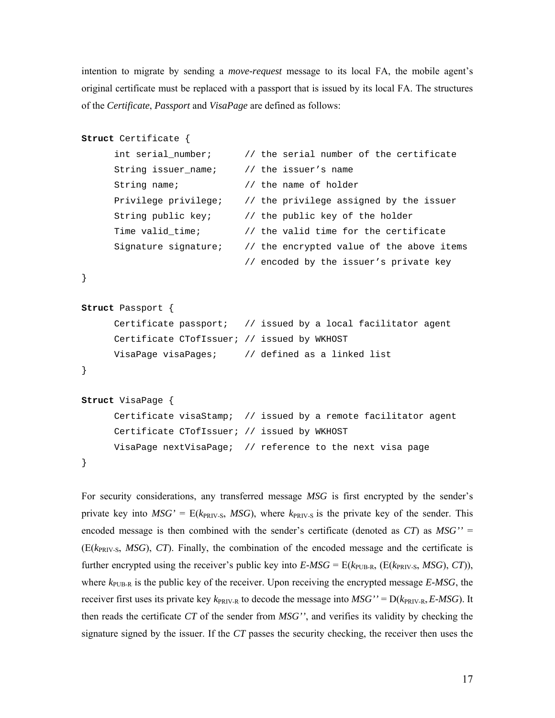intention to migrate by sending a *move-request* message to its local FA, the mobile agent's original certificate must be replaced with a passport that is issued by its local FA. The structures of the *Certificate*, *Passport* and *VisaPage* are defined as follows:

```
Struct Certificate { 
       int serial_number; // the serial number of the certificate 
      String issuer name; // the issuer's name
      String name; \frac{1}{10} // the name of holder
       Privilege privilege; // the privilege assigned by the issuer 
      String public key; \frac{1}{1} the public key of the holder
      Time valid_time; \frac{1}{2} // the valid time for the certificate
       Signature signature; // the encrypted value of the above items 
                               // encoded by the issuer's private key 
} 
Struct Passport { 
       Certificate passport; // issued by a local facilitator agent 
       Certificate CTofIssuer; // issued by WKHOST 
       VisaPage visaPages; // defined as a linked list 
} 
Struct VisaPage { 
       Certificate visaStamp; // issued by a remote facilitator agent 
       Certificate CTofIssuer; // issued by WKHOST 
       VisaPage nextVisaPage; // reference to the next visa page 
}
```
For security considerations, any transferred message *MSG* is first encrypted by the sender's private key into  $MSG' = E(k_{PRIV-S}, MSG)$ , where  $k_{PRIV-S}$  is the private key of the sender. This encoded message is then combined with the sender's certificate (denoted as *CT*) as *MSG''* =  $(E(k_{PRIV-S}, MSG), CT)$ . Finally, the combination of the encoded message and the certificate is further encrypted using the receiver's public key into  $E\text{-}MSG = E(k_{\text{PUB-R}}, (E(k_{\text{PRIV-S}}, \text{MSG}), \text{CT}))$ , where  $k_{\text{PUB-R}}$  is the public key of the receiver. Upon receiving the encrypted message  $E\text{-}MSG$ , the receiver first uses its private key  $k_{\text{PRIV-R}}$  to decode the message into  $MSG'' = D(k_{\text{PRIV-R}}, E\text{-}MSG)$ . It then reads the certificate *CT* of the sender from *MSG''*, and verifies its validity by checking the signature signed by the issuer. If the *CT* passes the security checking, the receiver then uses the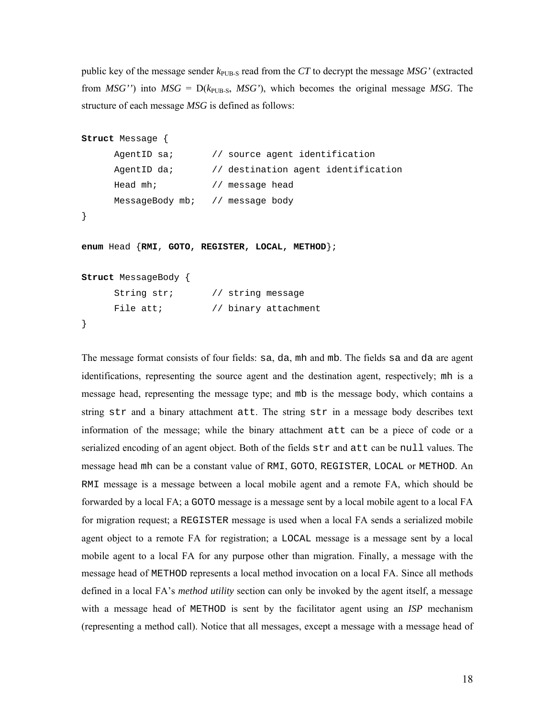public key of the message sender  $k_{\text{PUB-S}}$  read from the *CT* to decrypt the message *MSG'* (extracted from  $MSG'$  into  $MSG = D(k_{PUB-S}, MSG')$ , which becomes the original message MSG. The structure of each message *MSG* is defined as follows:

```
Struct Message { 
     AgentID sa; \frac{1}{2} source agent identification
      AgentID da; // destination agent identification 
      Head mh; // message head 
      MessageBody mb; // message body 
} 
enum Head {RMI, GOTO, REGISTER, LOCAL, METHOD}; 
Struct MessageBody { 
     String str; // string message
     File att; \frac{1}{2} binary attachment
}
```
The message format consists of four fields: sa, da, mh and mb. The fields sa and da are agent identifications, representing the source agent and the destination agent, respectively; mh is a message head, representing the message type; and mb is the message body, which contains a string str and a binary attachment att. The string str in a message body describes text information of the message; while the binary attachment att can be a piece of code or a serialized encoding of an agent object. Both of the fields str and att can be null values. The message head mh can be a constant value of RMI, GOTO, REGISTER, LOCAL or METHOD. An RMI message is a message between a local mobile agent and a remote FA, which should be forwarded by a local FA; a GOTO message is a message sent by a local mobile agent to a local FA for migration request; a REGISTER message is used when a local FA sends a serialized mobile agent object to a remote FA for registration; a LOCAL message is a message sent by a local mobile agent to a local FA for any purpose other than migration. Finally, a message with the message head of METHOD represents a local method invocation on a local FA. Since all methods defined in a local FA's *method utility* section can only be invoked by the agent itself, a message with a message head of METHOD is sent by the facilitator agent using an *ISP* mechanism (representing a method call). Notice that all messages, except a message with a message head of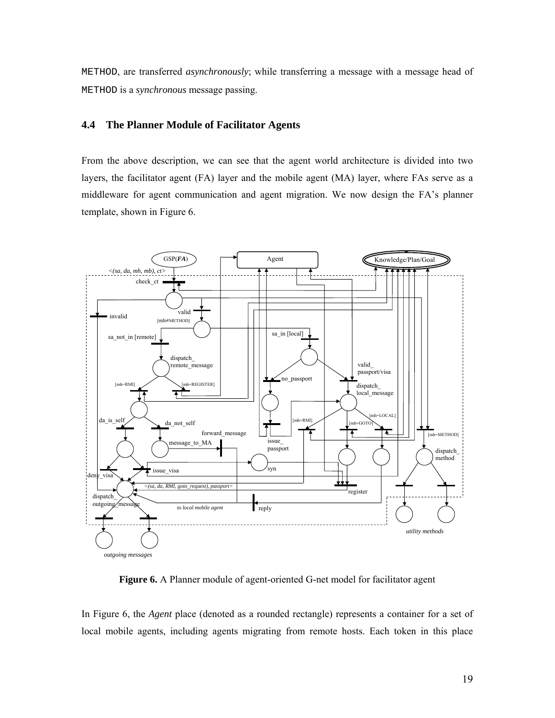METHOD, are transferred *asynchronously*; while transferring a message with a message head of METHOD is a *synchronous* message passing.

## **4.4 The Planner Module of Facilitator Agents**

From the above description, we can see that the agent world architecture is divided into two layers, the facilitator agent (FA) layer and the mobile agent (MA) layer, where FAs serve as a middleware for agent communication and agent migration. We now design the FA's planner template, shown in Figure 6.



**Figure 6.** A Planner module of agent-oriented G-net model for facilitator agent

In Figure 6, the *Agent* place (denoted as a rounded rectangle) represents a container for a set of local mobile agents, including agents migrating from remote hosts. Each token in this place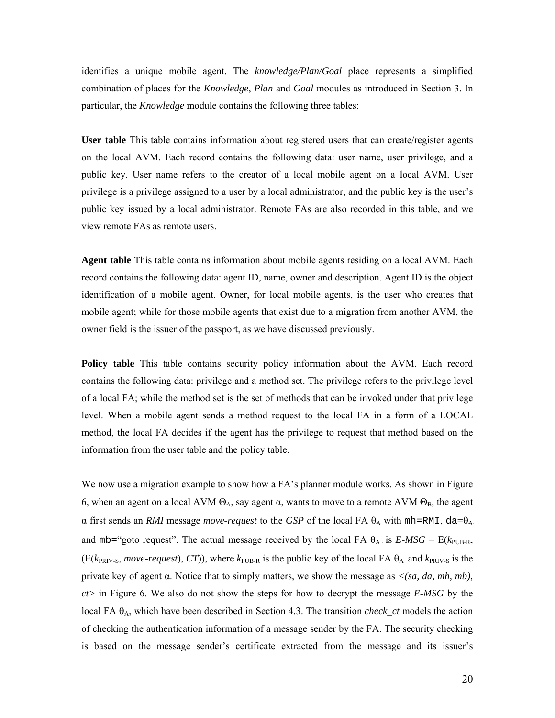identifies a unique mobile agent. The *knowledge/Plan/Goal* place represents a simplified combination of places for the *Knowledge*, *Plan* and *Goal* modules as introduced in Section 3. In particular, the *Knowledge* module contains the following three tables:

**User table** This table contains information about registered users that can create/register agents on the local AVM. Each record contains the following data: user name, user privilege, and a public key. User name refers to the creator of a local mobile agent on a local AVM. User privilege is a privilege assigned to a user by a local administrator, and the public key is the user's public key issued by a local administrator. Remote FAs are also recorded in this table, and we view remote FAs as remote users.

**Agent table** This table contains information about mobile agents residing on a local AVM. Each record contains the following data: agent ID, name, owner and description. Agent ID is the object identification of a mobile agent. Owner, for local mobile agents, is the user who creates that mobile agent; while for those mobile agents that exist due to a migration from another AVM, the owner field is the issuer of the passport, as we have discussed previously.

**Policy table** This table contains security policy information about the AVM. Each record contains the following data: privilege and a method set. The privilege refers to the privilege level of a local FA; while the method set is the set of methods that can be invoked under that privilege level. When a mobile agent sends a method request to the local FA in a form of a LOCAL method, the local FA decides if the agent has the privilege to request that method based on the information from the user table and the policy table.

We now use a migration example to show how a FA's planner module works. As shown in Figure 6, when an agent on a local AVM  $\Theta_A$ , say agent α, wants to move to a remote AVM  $\Theta_B$ , the agent  $\alpha$  first sends an *RMI* message *move-request* to the *GSP* of the local FA  $\theta_A$  with mh=RMI, da= $\theta_A$ and mb="goto request". The actual message received by the local FA  $\theta_A$  is *E-MSG* = E( $k_{\text{PUB-R}}$ ,  $(E(k_{PRIV-S}, move-request), CT)$ , where  $k_{PUB-R}$  is the public key of the local FA  $\theta_A$  and  $k_{PRIV-S}$  is the private key of agent α. Notice that to simply matters, we show the message as *<(sa, da, mh, mb), ct>* in Figure 6. We also do not show the steps for how to decrypt the message *E-MSG* by the local FA  $\theta_A$ , which have been described in Section 4.3. The transition *check\_ct* models the action of checking the authentication information of a message sender by the FA. The security checking is based on the message sender's certificate extracted from the message and its issuer's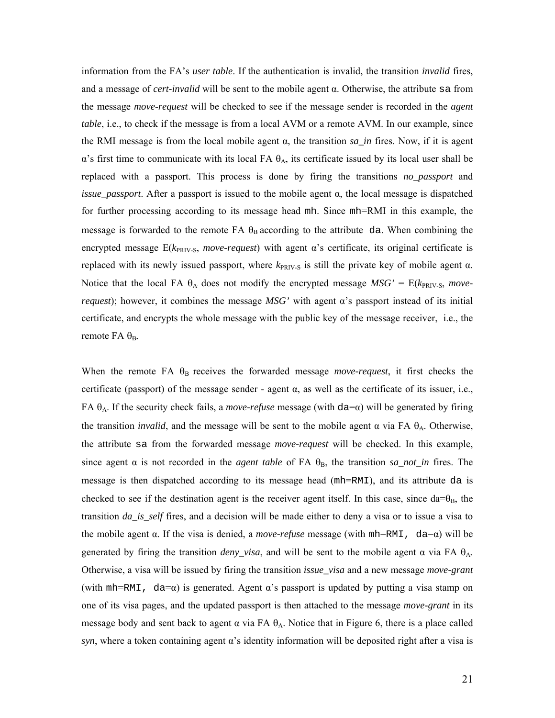information from the FA's *user table*. If the authentication is invalid, the transition *invalid* fires, and a message of *cert-invalid* will be sent to the mobile agent α. Otherwise, the attribute sa from the message *move-request* will be checked to see if the message sender is recorded in the *agent table*, i.e., to check if the message is from a local AVM or a remote AVM. In our example, since the RMI message is from the local mobile agent  $\alpha$ , the transition *sa\_in* fires. Now, if it is agent  $\alpha$ 's first time to communicate with its local FA  $\theta_A$ , its certificate issued by its local user shall be replaced with a passport. This process is done by firing the transitions *no\_passport* and *issue\_passport*. After a passport is issued to the mobile agent α, the local message is dispatched for further processing according to its message head mh. Since mh=RMI in this example, the message is forwarded to the remote  $FA \theta_B$  according to the attribute da. When combining the encrypted message  $E(k_{PRIV-S}, \text{move-request})$  with agent  $\alpha$ 's certificate, its original certificate is replaced with its newly issued passport, where  $k_{PRIV-S}$  is still the private key of mobile agent  $\alpha$ . Notice that the local FA  $\theta_A$  does not modify the encrypted message  $MSG' = E(k_{PRIV-S}, \text{move}$ *request*); however, it combines the message *MSG'* with agent α's passport instead of its initial certificate, and encrypts the whole message with the public key of the message receiver, i.e., the remote FA  $\theta_{\rm B}$ .

When the remote FA  $\theta_B$  receives the forwarded message *move-request*, it first checks the certificate (passport) of the message sender - agent  $\alpha$ , as well as the certificate of its issuer, i.e., FA  $\theta_A$ . If the security check fails, a *move-refuse* message (with da= $\alpha$ ) will be generated by firing the transition *invalid*, and the message will be sent to the mobile agent  $\alpha$  via FA  $\theta_A$ . Otherwise, the attribute sa from the forwarded message *move-request* will be checked. In this example, since agent α is not recorded in the *agent table* of FA θ<sub>B</sub>, the transition *sa\_not\_in* fires. The message is then dispatched according to its message head (mh=RMI), and its attribute da is checked to see if the destination agent is the receiver agent itself. In this case, since  $da = \theta_B$ , the transition *da\_is\_self* fires, and a decision will be made either to deny a visa or to issue a visa to the mobile agent  $\alpha$ . If the visa is denied, a *move-refuse* message (with mh=RMI, da= $\alpha$ ) will be generated by firing the transition  $deny\_visa$ , and will be sent to the mobile agent  $\alpha$  via FA  $\theta_A$ . Otherwise, a visa will be issued by firing the transition *issue\_visa* and a new message *move-grant* (with mh=RMI, da= $\alpha$ ) is generated. Agent  $\alpha$ 's passport is updated by putting a visa stamp on one of its visa pages, and the updated passport is then attached to the message *move-grant* in its message body and sent back to agent  $\alpha$  via FA  $\theta_A$ . Notice that in Figure 6, there is a place called *syn*, where a token containing agent α's identity information will be deposited right after a visa is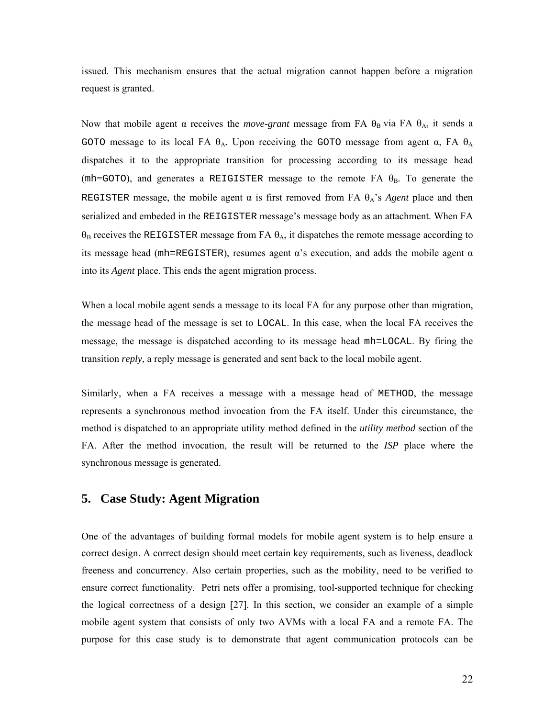issued. This mechanism ensures that the actual migration cannot happen before a migration request is granted.

Now that mobile agent α receives the *move-grant* message from FA θ<sub>B</sub> via FA θ<sub>A</sub>, it sends a GOTO message to its local FA  $\theta_A$ . Upon receiving the GOTO message from agent  $\alpha$ , FA  $\theta_A$ dispatches it to the appropriate transition for processing according to its message head (mh=GOTO), and generates a REIGISTER message to the remote  $FA \theta_B$ . To generate the REGISTER message, the mobile agent  $\alpha$  is first removed from FA  $\theta_A$ 's *Agent* place and then serialized and embeded in the REIGISTER message's message body as an attachment. When FA  $\theta_B$  receives the REIGISTER message from FA  $\theta_A$ , it dispatches the remote message according to its message head (mh=REGISTER), resumes agent  $\alpha$ 's execution, and adds the mobile agent  $\alpha$ into its *Agent* place. This ends the agent migration process.

When a local mobile agent sends a message to its local FA for any purpose other than migration, the message head of the message is set to LOCAL. In this case, when the local FA receives the message, the message is dispatched according to its message head mh=LOCAL. By firing the transition *reply*, a reply message is generated and sent back to the local mobile agent.

Similarly, when a FA receives a message with a message head of METHOD, the message represents a synchronous method invocation from the FA itself. Under this circumstance, the method is dispatched to an appropriate utility method defined in the *utility method* section of the FA. After the method invocation, the result will be returned to the *ISP* place where the synchronous message is generated.

## **5. Case Study: Agent Migration**

One of the advantages of building formal models for mobile agent system is to help ensure a correct design. A correct design should meet certain key requirements, such as liveness, deadlock freeness and concurrency. Also certain properties, such as the mobility, need to be verified to ensure correct functionality. Petri nets offer a promising, tool-supported technique for checking the logical correctness of a design [27]. In this section, we consider an example of a simple mobile agent system that consists of only two AVMs with a local FA and a remote FA. The purpose for this case study is to demonstrate that agent communication protocols can be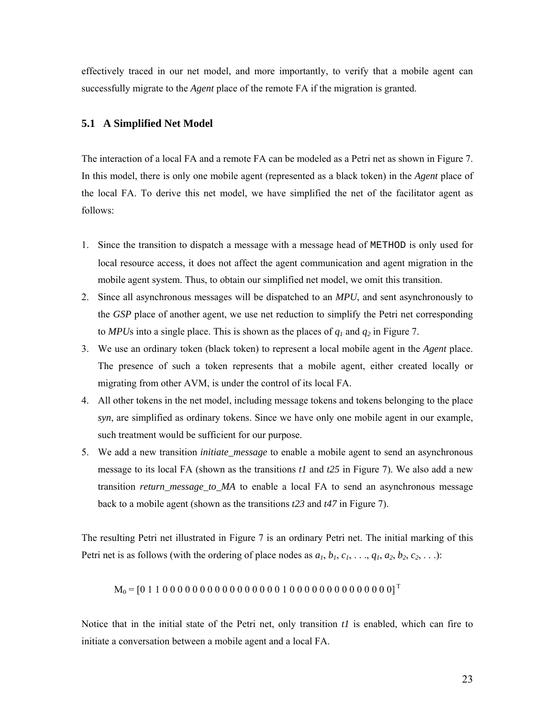effectively traced in our net model, and more importantly, to verify that a mobile agent can successfully migrate to the *Agent* place of the remote FA if the migration is granted.

#### **5.1 A Simplified Net Model**

The interaction of a local FA and a remote FA can be modeled as a Petri net as shown in Figure 7. In this model, there is only one mobile agent (represented as a black token) in the *Agent* place of the local FA. To derive this net model, we have simplified the net of the facilitator agent as follows:

- 1. Since the transition to dispatch a message with a message head of METHOD is only used for local resource access, it does not affect the agent communication and agent migration in the mobile agent system. Thus, to obtain our simplified net model, we omit this transition.
- 2. Since all asynchronous messages will be dispatched to an *MPU*, and sent asynchronously to the *GSP* place of another agent, we use net reduction to simplify the Petri net corresponding to *MPU*s into a single place. This is shown as the places of  $q_l$  and  $q_2$  in Figure 7.
- 3. We use an ordinary token (black token) to represent a local mobile agent in the *Agent* place. The presence of such a token represents that a mobile agent, either created locally or migrating from other AVM, is under the control of its local FA.
- 4. All other tokens in the net model, including message tokens and tokens belonging to the place *syn*, are simplified as ordinary tokens. Since we have only one mobile agent in our example, such treatment would be sufficient for our purpose.
- 5. We add a new transition *initiate\_message* to enable a mobile agent to send an asynchronous message to its local FA (shown as the transitions *t1* and *t25* in Figure 7). We also add a new transition *return\_message\_to\_MA* to enable a local FA to send an asynchronous message back to a mobile agent (shown as the transitions *t23* and *t47* in Figure 7).

The resulting Petri net illustrated in Figure 7 is an ordinary Petri net. The initial marking of this Petri net is as follows (with the ordering of place nodes as  $a_1, b_1, c_1, \ldots, q_1, a_2, b_2, c_2, \ldots$ ):

MB <sup>0</sup>B = [0 1 1 0 0 0 0 0 0 0 0 0 0 0 0 0 0 0 0 1 0 0 0 0 0 0 0 0 0 0 0 0 0 0]<sup>P</sup> T

Notice that in the initial state of the Petri net, only transition *t1* is enabled, which can fire to initiate a conversation between a mobile agent and a local FA.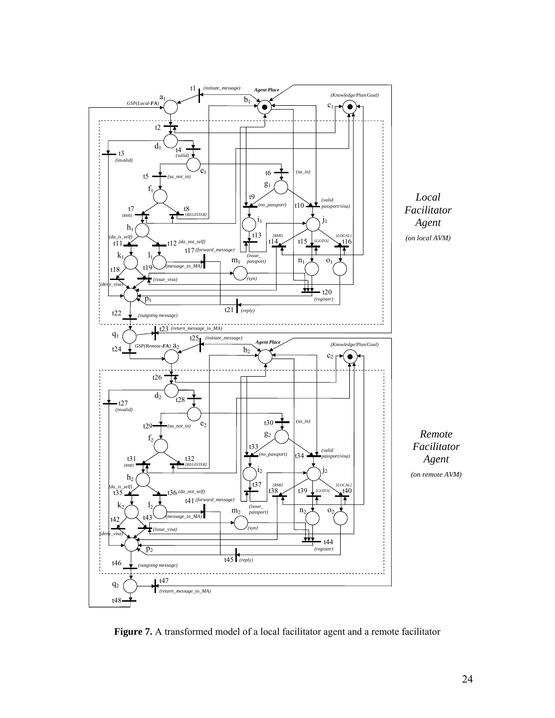

**Figure 7.** A transformed model of a local facilitator agent and a remote facilitator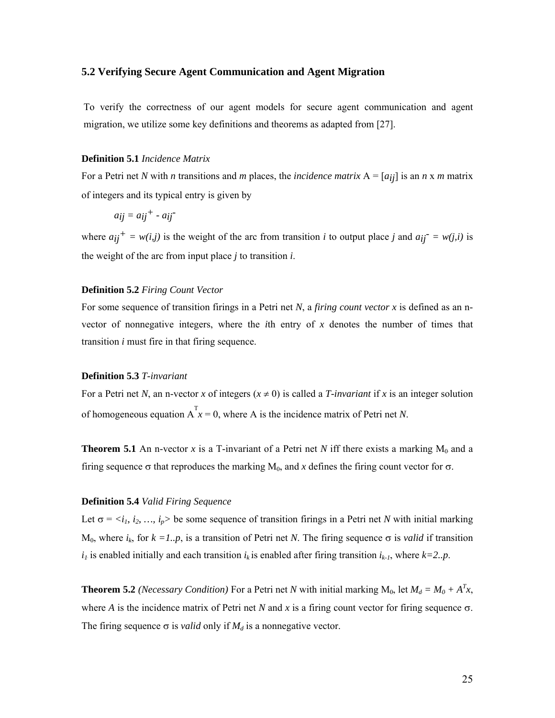#### **5.2 Verifying Secure Agent Communication and Agent Migration**

To verify the correctness of our agent models for secure agent communication and agent migration, we utilize some key definitions and theorems as adapted from [27].

#### **Definition 5.1** *Incidence Matrix*

For a Petri net *N* with *n* transitions and *m* places, the *incidence matrix*  $A = [a_{ij}]$  is an *n* x *m* matrix of integers and its typical entry is given by

$$
a_{ij} = a_{ij}^+ - a_{ij}^-
$$

where  $a_{ij}^+ = w(i,j)$  is the weight of the arc from transition *i* to output place *j* and  $a_{ij}^- = w(j,i)$  is the weight of the arc from input place *j* to transition *i*.

#### **Definition 5.2** *Firing Count Vector*

For some sequence of transition firings in a Petri net *N*, a *firing count vector x* is defined as an nvector of nonnegative integers, where the *i*th entry of *x* denotes the number of times that transition *i* must fire in that firing sequence.

#### **Definition 5.3** *T-invariant*

For a Petri net *N*, an n-vector *x* of integers ( $x \ne 0$ ) is called a *T*-invariant if *x* is an integer solution of homogeneous equation  $A<sup>T</sup> x = 0$ , where A is the incidence matrix of Petri net *N*.

**Theorem 5.1** An n-vector x is a T-invariant of a Petri net N iff there exists a marking  $M_0$  and a firing sequence  $\sigma$  that reproduces the marking  $M_0$ , and *x* defines the firing count vector for  $\sigma$ .

#### **Definition 5.4** *Valid Firing Sequence*

Let  $\sigma = \langle i_1, i_2, ..., i_p \rangle$  be some sequence of transition firings in a Petri net *N* with initial marking  $M_0$ , where *i<sub>k</sub>*, for *k* = *l*.*p*, is a transition of Petri net *N*. The firing sequence σ is *valid* if transition  $i_l$  is enabled initially and each transition  $i_k$  is enabled after firing transition  $i_{k-l}$ , where  $k=2..p$ .

**Theorem 5.2** *(Necessary Condition)* For a Petri net *N* with initial marking  $M_0$ , let  $M_d = M_0 + A^T x$ , where *A* is the incidence matrix of Petri net *N* and *x* is a firing count vector for firing sequence  $\sigma$ . The firing sequence  $\sigma$  is *valid* only if  $M_d$  is a nonnegative vector.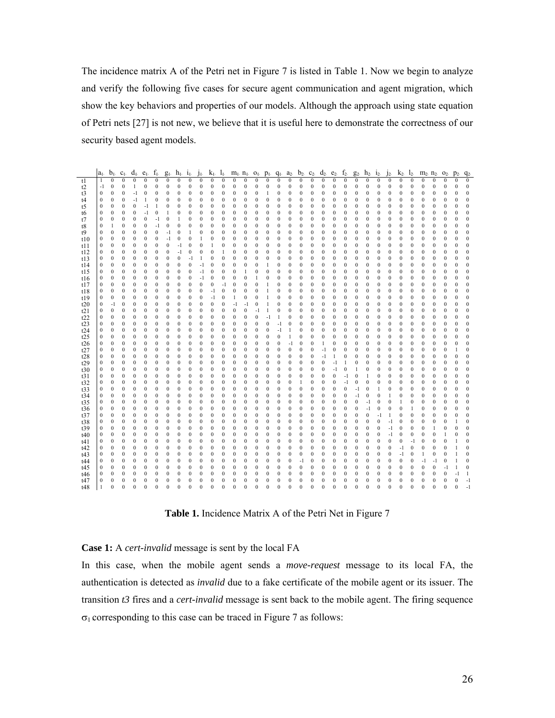The incidence matrix A of the Petri net in Figure 7 is listed in Table 1. Now we begin to analyze and verify the following five cases for secure agent communication and agent migration, which show the key behaviors and properties of our models. Although the approach using state equation of Petri nets [27] is not new, we believe that it is useful here to demonstrate the correctness of our security based agent models.

|            | $\mathbf{a}_1$                       | $b_1$                    | $c1$ .                       | $d_1$             | $e1$ .                   | $f_{\text{L}}$               |                              | $\begin{array}{cc} g_1, & h_1, & i_1, \\ \hline 0 & 0 & 0 \end{array}$ |                  | $J_1$ .           | $\frac{k_1}{0}$      | $\frac{1}{2}$                | $\frac{m_1}{0}$ , $\frac{n_1}{0}$ , $\frac{o_1}{0}$ , $\frac{p_1}{0}$ , $\frac{q_1}{0}$ , $\frac{a_2}{0}$ |                          |               |                              |                          |                              | $\frac{\mathbf{b}_2}{\mathbf{0}} \quad \frac{\mathbf{c}_2}{\mathbf{0}}$ |                  | $d_2$            | $\mathbf{e}_2$       | $f_2$            | $\frac{g_2}{0}$          | $h_2$ $i_2$                  |                                  | J2                                   | $k_2$                        | $l_2$                            | $\begin{array}{cc} m_2 & n_2 & o_2 \\ \hline & 0 & 0 \end{array}$ |                          |                              | $\frac{p_2}{0}$ $\frac{q_2}{0}$ |                                  |
|------------|--------------------------------------|--------------------------|------------------------------|-------------------|--------------------------|------------------------------|------------------------------|------------------------------------------------------------------------|------------------|-------------------|----------------------|------------------------------|-----------------------------------------------------------------------------------------------------------|--------------------------|---------------|------------------------------|--------------------------|------------------------------|-------------------------------------------------------------------------|------------------|------------------|----------------------|------------------|--------------------------|------------------------------|----------------------------------|--------------------------------------|------------------------------|----------------------------------|-------------------------------------------------------------------|--------------------------|------------------------------|---------------------------------|----------------------------------|
| t1         | $\overline{1}$                       | $\overline{0}$           | $\overline{0}$               | $\overline{0}$    | $\overline{0}$           | $\overline{0}$               |                              |                                                                        |                  | $\overline{0}$    |                      | $\overline{0}$               |                                                                                                           |                          |               |                              |                          |                              |                                                                         |                  | $\overline{0}$   | $\overline{0}$       | $\overline{0}$   |                          | $\overline{0}$               | $\overline{0}$                   | $\overline{0}$                       | $\overline{0}$               | $\overline{0}$                   |                                                                   |                          |                              |                                 |                                  |
| t2         | $-1$                                 | $\bf{0}$                 | $\boldsymbol{0}$             | 1                 | $\mathbf{0}$             | $\mathbf{0}$                 | $\mathbf{0}$                 | $\bf{0}$                                                               | $\boldsymbol{0}$ | $\boldsymbol{0}$  | $\boldsymbol{0}$     | $\bf{0}$                     | $\boldsymbol{0}$                                                                                          | $\boldsymbol{0}$         | $\mathbf{0}$  | $\bf{0}$                     | $\boldsymbol{0}$         | $\bf{0}$                     | $\boldsymbol{0}$                                                        | $\boldsymbol{0}$ | $\boldsymbol{0}$ | $\bf{0}$             | $\boldsymbol{0}$ | $\bf{0}$                 | $\boldsymbol{0}$             | $\boldsymbol{0}$                 | $\bf{0}$                             | $\mathbf{0}$                 | $\boldsymbol{0}$                 | $\boldsymbol{0}$                                                  | $\mathbf{0}$             | $\mathbf{0}$                 | 0                               | $\bf{0}$                         |
| t3         | $\boldsymbol{0}$                     | 0                        | $\bf{0}$                     | $-1$              | $\boldsymbol{0}$         | $\boldsymbol{0}$             | $\boldsymbol{0}$             | $\boldsymbol{0}$                                                       | $\bf{0}$         | 0                 | $\boldsymbol{0}$     | $\boldsymbol{0}$             | $\boldsymbol{0}$                                                                                          | $\bf{0}$                 | $\mathbf{0}$  | 1                            | $\bf{0}$                 | 0                            | 0                                                                       | $\boldsymbol{0}$ | 0                | $\bf{0}$             | $\boldsymbol{0}$ | $\boldsymbol{0}$         | $\boldsymbol{0}$             | $\bf{0}$                         | $\boldsymbol{0}$                     | 0                            | $\boldsymbol{0}$                 | $\boldsymbol{0}$                                                  | $\boldsymbol{0}$         | $\bf{0}$                     | $\Omega$                        | $\boldsymbol{0}$                 |
| t4         | $\boldsymbol{0}$                     | 0                        | $\bf{0}$                     | -1                |                          | $\theta$                     | $\mathbf{0}$                 | $\boldsymbol{0}$                                                       | $\bf{0}$         | $\bf{0}$          | $\bf{0}$             | $\boldsymbol{0}$             | $\bf{0}$                                                                                                  | $\bf{0}$                 | $\bf{0}$      | 0                            | 0                        | $\bf{0}$                     | 0                                                                       | 0                | 0                | $\bf{0}$             | $\boldsymbol{0}$ | 0                        | $\boldsymbol{0}$             | $\bf{0}$                         | $\bf{0}$                             | 0                            | $\boldsymbol{0}$                 | 0                                                                 | $\bf{0}$                 | $\bf{0}$                     |                                 | $\boldsymbol{0}$                 |
| t5         | $\boldsymbol{0}$                     | 0                        | $\bf{0}$                     | $\bf{0}$          | -1                       |                              | $\mathbf{0}$                 | $\bf{0}$                                                               | $\bf{0}$         | 0                 | $\bf{0}$             | 0                            | 0                                                                                                         | $\bf{0}$                 | 0             | 0                            | 0                        | $\bf{0}$                     | 0                                                                       | 0                | $\bf{0}$         | $\bf{0}$             | $\bf{0}$         | 0                        | 0                            | 0                                | $\bf{0}$                             | 0                            | $\bf{0}$                         | 0                                                                 | $\bf{0}$                 | 0                            |                                 | $\boldsymbol{0}$                 |
| t6         | $\boldsymbol{0}$                     | $\bf{0}$                 | $\bf{0}$                     | 0                 |                          | $\theta$                     |                              | $\mathbf{0}$                                                           | $\bf{0}$         | $\bf{0}$          | $\bf{0}$             | 0                            | 0                                                                                                         | $\bf{0}$                 | 0             | 0                            | 0                        | $\bf{0}$                     | 0                                                                       | 0                | $\bf{0}$         | $\bf{0}$             | $\boldsymbol{0}$ | 0                        | $\boldsymbol{0}$             | $\bf{0}$                         | $\bf{0}$                             | $\mathbf{0}$                 | $\boldsymbol{0}$                 | 0                                                                 | $\bf{0}$                 | $\bf{0}$                     |                                 | $\boldsymbol{0}$                 |
| t7         | $\boldsymbol{0}$                     | $\boldsymbol{0}$         | $\bf{0}$                     | 0                 | $\bf{0}$                 |                              | $\mathbf{0}$                 | 1                                                                      | $\bf{0}$         | 0                 | $\bf{0}$             | 0                            | 0                                                                                                         | $\bf{0}$                 | $\bf{0}$      | 0                            | 0                        | $\bf{0}$                     | 0                                                                       | 0                | $\bf{0}$         | $\bf{0}$             | $\bf{0}$         | 0                        | 0                            | 0                                | $\bf{0}$                             |                              | $\bf{0}$                         | 0                                                                 | $\mathbf{0}$             | $\boldsymbol{0}$             |                                 | $\boldsymbol{0}$                 |
| t8         | $\mathbf{0}$                         | 1                        | $\mathbf{0}$                 | $\mathbf{0}$      | $\mathbf{0}$             | -1                           | $\mathbf{0}$                 | 0                                                                      | $\mathbf{0}$     | $\mathbf{0}$      | $\bf{0}$             | $\mathbf{0}$                 | $\mathbf{0}$                                                                                              | $\mathbf{0}$             | $\bf{0}$      | $\mathbf{0}$                 | $\mathbf{0}$             | $\mathbf{0}$                 | 0                                                                       | $\mathbf{0}$     | $\mathbf{0}$     | $\theta$             | $\mathbf{0}$     | $\mathbf{0}$             | $\mathbf{0}$                 | $\mathbf{0}$                     | $\mathbf{0}$                         | $\mathbf{0}$                 | $\mathbf{0}$                     | $\mathbf{0}$                                                      | $\mathbf{0}$             | $\bf{0}$                     |                                 | $\mathbf{0}$                     |
| t9         | $\mathbf{0}$                         | $\bf{0}$                 | $\mathbf{0}$                 | $\mathbf{0}$      | $\mathbf{0}$             | $\theta$                     |                              | $\bf{0}$                                                               | 1                | $\bf{0}$          | $\mathbf{0}$         | $\boldsymbol{0}$             | $\mathbf{0}$                                                                                              | $\mathbf{0}$             | $\bf{0}$      | $\mathbf{0}$                 | $\bf{0}$                 | $\mathbf{0}$                 | $\mathbf{0}$                                                            | $\mathbf{0}$     | 0                | $\mathbf{0}$         | $\mathbf{0}$     | $\mathbf{0}$             | $\bf{0}$                     | $\mathbf{0}$                     | $\boldsymbol{0}$                     | $\mathbf{0}$                 | $\mathbf{0}$                     | $\mathbf{0}$                                                      | $\mathbf{0}$             | $\bf{0}$                     |                                 | $\boldsymbol{0}$                 |
| t10        | $\mathbf{0}$                         | $\bf{0}$                 | $\mathbf{0}$                 | $\mathbf{0}$      | $\mathbf{0}$             | $\mathbf{0}$                 | $-1$                         | 0                                                                      | $\overline{0}$   |                   | $\theta$             | $\mathbf{0}$                 | $\mathbf{0}$                                                                                              | $\mathbf{0}$             | $\bf{0}$      | $\mathbf{0}$                 | $\mathbf{0}$             | $\mathbf{0}$                 | 0                                                                       | 0                | $\mathbf{0}$     | $\mathbf{0}$         | $\mathbf{0}$     | $\mathbf{0}$             | $\mathbf{0}$                 | $\mathbf{0}$                     | $\mathbf{0}$                         | $\mathbf{0}$                 | $\mathbf{0}$                     | $\mathbf{0}$                                                      | $\mathbf{0}$             | $\bf{0}$                     |                                 | $\mathbf{0}$                     |
| tl 1       | $\mathbf{0}$                         | $\bf{0}$                 | 0                            | 0                 | $\mathbf{0}$             | 0                            | $\Omega$                     |                                                                        | $\mathbf{0}$     | $\mathbf{0}$      |                      | $\mathbf{0}$                 | $\mathbf{0}$                                                                                              | $\mathbf{0}$             | $\bf{0}$      | $\mathbf{0}$                 | $\mathbf{0}$             | $\mathbf{0}$                 | $\mathbf{0}$                                                            | 0                | $\bf{0}$         | $\Omega$             | $\mathbf{0}$     | $\mathbf{0}$             | $\bf{0}$                     | $\mathbf{0}$                     | $\boldsymbol{0}$                     | $\mathbf{0}$                 | $\bf{0}$                         | $\mathbf{0}$                                                      | $\mathbf{0}$             | $\bf{0}$                     |                                 | $\boldsymbol{0}$                 |
| t12        | $\mathbf{0}$                         | $\bf{0}$                 | 0                            | 0                 | $\mathbf{0}$             | $\mathbf{0}$                 | $\Omega$                     |                                                                        | 0                | 0                 | $\theta$             |                              | $\mathbf{0}$                                                                                              | $\mathbf{0}$             | 0             | $\mathbf{0}$                 | $\mathbf{0}$             | $\mathbf{0}$                 | 0                                                                       | 0                | 0                | $\mathbf{0}$         | $\boldsymbol{0}$ | $\mathbf{0}$             | $\mathbf{0}$                 | $\mathbf{0}$                     | $\boldsymbol{0}$                     | $\mathbf{0}$                 | $\mathbf{0}$                     | $\mathbf{0}$                                                      | $\mathbf{0}$             | $\bf{0}$                     |                                 | $\mathbf{0}$                     |
| t13        | $\boldsymbol{0}$                     | $\bf{0}$                 | $\bf{0}$                     | 0                 | $\mathbf{0}$             | 0                            | 0                            | $\mathbf{0}$                                                           | -1               |                   | $\theta$             | 0                            | 0                                                                                                         | $\bf{0}$                 | 0             | 0                            | 0                        | 0                            | 0                                                                       | 0                | $\bf{0}$         | $\bf{0}$             | $\bf{0}$         | $\mathbf{0}$             | 0                            | 0                                | $\bf{0}$                             | $\mathbf{0}$                 | $\bf{0}$                         | $\boldsymbol{0}$                                                  | $\mathbf{0}$             | $\bf{0}$                     |                                 | $\boldsymbol{0}$                 |
| t14        | $\mathbf{0}$                         | 0                        | 0                            | 0                 | $\mathbf{0}$             | 0                            | 0                            | $\mathbf{0}$                                                           | $\bf{0}$         | -1                | 0                    | $\mathbf{0}$                 | $\mathbf{0}$                                                                                              | $\bf{0}$                 | 0             |                              | 0                        | 0                            | 0                                                                       | 0                | 0                | $\bf{0}$             | $\boldsymbol{0}$ | 0                        | 0                            | 0                                | $\bf{0}$                             | 0                            | 0                                | $\mathbf{0}$                                                      | $\mathbf{0}$             | $\bf{0}$                     |                                 | $\mathbf{0}$                     |
| t15        | $\boldsymbol{0}$                     | 0                        | $\bf{0}$                     | 0                 | $\bf{0}$                 | 0                            | 0                            | 0                                                                      | 0                |                   |                      | 0                            | $\mathbf{0}$                                                                                              |                          | 0             | 0                            | 0                        | $\bf{0}$                     | 0                                                                       | 0                | 0                | $\mathbf{0}$         | $\bf{0}$         | 0                        | 0                            | 0                                | $\boldsymbol{0}$                     | 0                            | $\bf{0}$                         | 0                                                                 | $\mathbf{0}$             | $\boldsymbol{0}$             |                                 | $\boldsymbol{0}$                 |
| t16        | $\bf{0}$                             | 0                        | $\bf{0}$                     | 0                 | $\bf{0}$                 | 0                            | 0                            | 0                                                                      | 0                | -1                |                      | 0                            | 0                                                                                                         | $\bf{0}$                 |               | 0                            | 0                        | $\bf{0}$                     | 0                                                                       | 0                | 0                | $\bf{0}$             | $\boldsymbol{0}$ | 0                        | 0                            | 0                                | $\bf{0}$                             | 0                            | $\bf{0}$                         | 0                                                                 | $\bf{0}$                 | $\boldsymbol{0}$             |                                 | $\boldsymbol{0}$                 |
| t17        | $\boldsymbol{0}$                     | $\bf{0}$                 | $\bf{0}$                     | 0                 | $\bf{0}$                 | $\mathbf{0}$                 | 0                            | 0                                                                      | 0                | 0                 | $\theta$             | $-1$                         | $\mathbf{0}$                                                                                              | $\bf{0}$                 | $\bf{0}$      |                              | 0                        | $\bf{0}$                     | $\mathbf{0}$                                                            | 0                | 0                | 0                    | $\bf{0}$         | 0                        | 0                            | 0                                | $\mathbf 0$                          | $\mathbf{0}$                 | $\bf{0}$                         | 0                                                                 | $\mathbf{0}$             | $\bf{0}$                     |                                 | $\boldsymbol{0}$                 |
| t18        | $\mathbf{0}$                         | 0                        | $\Omega$                     | $\mathbf{0}$      | $\bf{0}$                 | $\Omega$                     | $\Omega$                     | $\Omega$                                                               | $\overline{0}$   | $\mathbf{0}$      |                      | $\Omega$                     | $\mathbf{0}$                                                                                              | $\Omega$                 |               |                              | $\Omega$                 | $\mathbf{0}$                 | $\Omega$                                                                | 0                | $\Omega$         | $\theta$             | $\bf{0}$         | 0                        | $\mathbf{0}$                 | $\mathbf{0}$                     | $\mathbf{0}$                         |                              | $\theta$                         | $\Omega$                                                          | $\theta$                 | $\Omega$                     |                                 | $\mathbf{0}$                     |
| t19        | $\boldsymbol{0}$                     | $\bf{0}$                 | $\mathbf{0}$                 | $\mathbf{0}$      | $\theta$                 | $\Omega$                     | $\mathbf{0}$                 | $\mathbf{0}$                                                           | $\overline{0}$   | $\theta$          | $-1$                 | $\mathbf{0}$                 |                                                                                                           | $\theta$                 |               |                              | $\mathbf{0}$             | $\mathbf{0}$                 | $\Omega$                                                                | $\bf{0}$         | $\mathbf{0}$     | $\Omega$             | $\bf{0}$         | $\mathbf{0}$             | $\mathbf{0}$                 | $\mathbf{0}$                     | $\theta$                             |                              | $\theta$                         | $\mathbf{0}$                                                      | $\theta$                 | $\Omega$                     |                                 | $\mathbf{0}$                     |
| t20        | $\mathbf{0}$                         | -1                       | 0                            | $\mathbf{0}$      | $\mathbf{0}$             | $\mathbf{0}$                 | $\mathbf{0}$                 | $\mathbf{0}$                                                           | $\overline{0}$   | $\mathbf{0}$      | $\mathbf{0}$         | $\mathbf{0}$                 | $-1$                                                                                                      | -1                       | 0             |                              | $\bf{0}$                 | $\mathbf{0}$                 | 0                                                                       | $\bf{0}$         | 0                | $\theta$             | $\bf{0}$         | $\mathbf{0}$             | $\mathbf{0}$                 | $\mathbf{0}$                     | $\mathbf{0}$                         | 0                            | $\mathbf{0}$                     | $\mathbf{0}$                                                      | $\mathbf{0}$             | $\bf{0}$                     |                                 | $\mathbf{0}$                     |
| t21        | $\boldsymbol{0}$                     | $\bf{0}$                 | $\mathbf{0}$                 | $\mathbf{0}$      | $\mathbf{0}$             | $\mathbf{0}$                 | $\mathbf{0}$                 | $\mathbf{0}$                                                           | $\overline{0}$   | $\mathbf{0}$      | $\bf{0}$             | $\mathbf{0}$                 | $\mathbf{0}$                                                                                              | $\theta$                 | -1            |                              | $\bf{0}$                 | $\mathbf{0}$                 | $\mathbf{0}$                                                            | $\bf{0}$         | $\mathbf{0}$     | $\mathbf{0}$         | $\mathbf{0}$     | $\mathbf{0}$             | $\mathbf{0}$                 | $\mathbf{0}$                     | $\theta$                             | $\mathbf{0}$                 | $\bf{0}$                         | $\mathbf{0}$                                                      | $\mathbf{0}$             | $\bf{0}$                     |                                 | $\mathbf{0}$                     |
| t22        | $\mathbf{0}$                         | 0                        | 0                            | $\mathbf{0}$      | $\mathbf{0}$             | $\mathbf{0}$                 | $\mathbf{0}$                 | $\mathbf{0}$                                                           | 0                | $\mathbf{0}$      | $\theta$             | $\mathbf{0}$                 | $\Omega$                                                                                                  | $\theta$                 |               | -1                           |                          | $\mathbf{0}$                 | 0                                                                       | 0                | 0                | $\theta$             | $\bf{0}$         | $\mathbf{0}$             | $\mathbf{0}$                 | $\mathbf{0}$                     | $\mathbf{0}$                         | $^{0}$                       | $\bf{0}$                         | $\mathbf{0}$                                                      | $\mathbf{0}$             | 0                            |                                 | $\mathbf{0}$                     |
| t23        | $\boldsymbol{0}$                     | $\bf{0}$                 | $\mathbf{0}$                 | 0                 | $\mathbf{0}$             | $\mathbf{0}$                 | $\mathbf{0}$                 | $\bf{0}$                                                               | $\overline{0}$   | $\mathbf{0}$      | $\theta$             | $\mathbf{0}$                 | $\mathbf{0}$                                                                                              | $\bf{0}$                 |               | $^{0}$                       | -1                       | $\mathbf{0}$                 | 0                                                                       | 0                | $\bf{0}$         | $\theta$             | $\bf{0}$         | $\mathbf{0}$             | $\mathbf{0}$                 | $\mathbf{0}$                     | $\mathbf{0}$                         | $\mathbf{0}$                 | $\bf{0}$                         | $\mathbf{0}$                                                      | $\mathbf{0}$             | $\bf{0}$                     |                                 | $\mathbf{0}$                     |
| t24        | $\bf{0}$                             | 0                        | 0                            | 0                 | 0                        | 0                            | $\mathbf{0}$                 | 0                                                                      | $\bf{0}$         | 0                 | $\bf{0}$             | 0                            | $\mathbf{0}$                                                                                              | $\bf{0}$                 | 0             | 0                            | -1                       |                              | 0                                                                       | 0                | 0                | $\bf{0}$             | $\boldsymbol{0}$ | 0                        | 0                            | $\bf{0}$                         | $\bf{0}$                             | 0                            | $\mathbf{0}$                     | $\mathbf{0}$                                                      | $\mathbf{0}$             | 0                            |                                 | $\boldsymbol{0}$                 |
| t25        | $\boldsymbol{0}$                     | $\bf{0}$                 | $\bf{0}$                     | 0                 | $\bf{0}$                 | $\mathbf{0}$                 | $\mathbf{0}$                 | $\boldsymbol{0}$                                                       | $\overline{0}$   | 0                 | $\bf{0}$             | $\bf{0}$                     | 0                                                                                                         | $\bf{0}$                 | 0             | 0                            | $\boldsymbol{0}$         |                              | 0                                                                       | 0                | 0                | $\theta$             | $\boldsymbol{0}$ | $\mathbf{0}$             | $\bf{0}$                     | $\mathbf{0}$                     | $\boldsymbol{0}$                     | $\mathbf{0}$                 | $\boldsymbol{0}$                 | $\boldsymbol{0}$                                                  | $\bf{0}$                 | $\boldsymbol{0}$             |                                 | $\boldsymbol{0}$                 |
| t26        | $\bf{0}$<br>$\mathbf{0}$             | 0                        | $\bf{0}$                     | 0                 | $\bf{0}$                 | $\mathbf{0}$                 | $\mathbf{0}$                 | 0                                                                      | 0<br>0           | 0                 | $\theta$<br>$\theta$ | 0                            | $\mathbf{0}$                                                                                              | $\bf{0}$                 | $\bf{0}$      | $\mathbf{0}$                 | $\boldsymbol{0}$         | -1                           | 0                                                                       | 0                | 1                | $\bf{0}$<br>$\Omega$ | $\boldsymbol{0}$ | 0                        | 0                            | 0                                | $\bf{0}$                             | $\mathbf{0}$                 | $\bf{0}$                         | $\mathbf{0}$                                                      | $\mathbf{0}$             | $\boldsymbol{0}$             |                                 | $\boldsymbol{0}$<br>$\mathbf{0}$ |
| t27        |                                      | $\boldsymbol{0}$         | $\mathbf{0}$                 | $\mathbf{0}$      | $\bf{0}$                 | $\mathbf{0}$                 | $\mathbf{0}$                 | $\mathbf{0}$<br>$\bf{0}$                                               | $\mathbf{0}$     | $\mathbf{0}$      | $\theta$             | $\mathbf{0}$<br>$\mathbf{0}$ | $\mathbf{0}$<br>$\mathbf{0}$                                                                              | $\bf{0}$<br>$\mathbf{0}$ | 0             | $\mathbf{0}$                 | $\boldsymbol{0}$         | $\mathbf{0}$                 | 0                                                                       | $\bf{0}$         | $-1$             |                      | $\bf{0}$         | $\mathbf{0}$             | $\mathbf{0}$<br>$\mathbf{0}$ | $\boldsymbol{0}$<br>$\mathbf{0}$ | $\mathbf{0}$                         | $\mathbf{0}$                 | $\mathbf{0}$                     | $\mathbf{0}$<br>$\bf{0}$                                          | $\theta$<br>$\mathbf{0}$ | $\boldsymbol{0}$<br>$\Omega$ |                                 | $\mathbf{0}$                     |
| t28<br>t29 | $\boldsymbol{0}$<br>$\boldsymbol{0}$ | $\bf{0}$<br>$\mathbf{0}$ | $\mathbf{0}$<br>$\mathbf{0}$ | 0<br>$\mathbf{0}$ | $\bf{0}$<br>$\mathbf{0}$ | $\mathbf{0}$<br>$\mathbf{0}$ | $\mathbf{0}$<br>$\mathbf{0}$ | $\bf{0}$                                                               | $\mathbf{0}$     | 0<br>$\mathbf{0}$ | $\theta$             | $\boldsymbol{0}$             | $\mathbf{0}$                                                                                              | $\bf{0}$                 | $\bf{0}$<br>0 | $\mathbf{0}$<br>$\mathbf{0}$ | $\bf{0}$<br>$\mathbf{0}$ | $\mathbf{0}$<br>$\mathbf{0}$ | 0<br>0                                                                  | 0<br>0           | -1<br>0          |                      | $\bf{0}$         | $\mathbf{0}$<br>$\theta$ | $\mathbf{0}$                 | $\mathbf{0}$                     | $\boldsymbol{0}$<br>$\boldsymbol{0}$ | $\mathbf{0}$<br>$\mathbf{0}$ | $\mathbf{0}$<br>$\boldsymbol{0}$ | $\mathbf{0}$                                                      | $\mathbf{0}$             | $\boldsymbol{0}$             |                                 | $\mathbf{0}$                     |
| t30        | $\boldsymbol{0}$                     | $\boldsymbol{0}$         | $\mathbf{0}$                 | $\mathbf{0}$      | $\bf{0}$                 | $\theta$                     | $\mathbf{0}$                 | $\mathbf{0}$                                                           | $\overline{0}$   | 0                 | $\theta$             | $\mathbf{0}$                 | $\mathbf{0}$                                                                                              | $\mathbf{0}$             | $\bf{0}$      | $\mathbf{0}$                 | $\bf{0}$                 | $\mathbf{0}$                 | 0                                                                       | $\bf{0}$         | 0                | $-1$                 | $\bf{0}$         |                          | 0                            | $\mathbf{0}$                     | $\boldsymbol{0}$                     | $\mathbf{0}$                 | $\mathbf{0}$                     | $\bf{0}$                                                          | $\mathbf{0}$             | 0                            |                                 | $\mathbf{0}$                     |
| t31        | $\boldsymbol{0}$                     | $\bf{0}$                 | $\mathbf{0}$                 | $\mathbf{0}$      | $\mathbf{0}$             | $\mathbf{0}$                 | $\mathbf{0}$                 | $\bf{0}$                                                               | $\mathbf{0}$     | $\mathbf{0}$      | $\theta$             | $\mathbf{0}$                 | $\mathbf{0}$                                                                                              | $\mathbf{0}$             | 0             | $\mathbf{0}$                 | $\bf{0}$                 | $\mathbf{0}$                 | 0                                                                       | $\mathbf{0}$     | $\bf{0}$         | $\theta$             |                  |                          |                              | $\mathbf{0}$                     | $\mathbf{0}$                         | $\mathbf{0}$                 | $\mathbf{0}$                     | $\mathbf{0}$                                                      | $\mathbf{0}$             | $\boldsymbol{0}$             |                                 | $\mathbf{0}$                     |
| t32        | $\boldsymbol{0}$                     | $\boldsymbol{0}$         | 0                            | 0                 | $\mathbf{0}$             | $\theta$                     | $\mathbf{0}$                 | $\bf{0}$                                                               | $\bf{0}$         | 0                 | $\theta$             | 0                            | $\mathbf{0}$                                                                                              | $\mathbf{0}$             | $\bf{0}$      | $\mathbf{0}$                 | $\boldsymbol{0}$         | $\mathbf{0}$                 |                                                                         | 0                | $\bf{0}$         | $\theta$             |                  | $\theta$                 | $\mathbf{0}$                 | $\overline{0}$                   | $\bf{0}$                             | $\mathbf{0}$                 | $\bf{0}$                         | $\bf{0}$                                                          | $\mathbf{0}$             | 0                            |                                 | $\mathbf{0}$                     |
| t33        | $\boldsymbol{0}$                     | 0                        | $\bf{0}$                     | 0                 | 0                        | $\bf{0}$                     | $\mathbf{0}$                 | $\boldsymbol{0}$                                                       | $\bf{0}$         | 0                 | $\bf{0}$             | 0                            | $\bf{0}$                                                                                                  | $\bf{0}$                 | $\bf{0}$      | 0                            | $\boldsymbol{0}$         | $\mathbf{0}$                 | 0                                                                       | 0                | 0                | $\bf{0}$             | $\boldsymbol{0}$ |                          | $\mathbf{0}$                 |                                  | $\bf{0}$                             | $\mathbf{0}$                 | $\bf{0}$                         | $\boldsymbol{0}$                                                  | $\boldsymbol{0}$         | 0                            |                                 | $\mathbf{0}$                     |
| t34        | $\boldsymbol{0}$                     | 0                        | $\bf{0}$                     | 0                 | $\mathbf{0}$             | $\mathbf{0}$                 | $\mathbf{0}$                 | 0                                                                      | $\bf{0}$         | 0                 | $\bf{0}$             | 0                            | $\bf{0}$                                                                                                  | $\bf{0}$                 | 0             | 0                            | 0                        | $\bf{0}$                     | 0                                                                       | 0                | $\bf{0}$         | $\bf{0}$             | $\bf{0}$         | -1                       | 0                            | $\overline{0}$                   |                                      | 0                            | $\bf{0}$                         | $\boldsymbol{0}$                                                  | $\mathbf{0}$             | $\boldsymbol{0}$             |                                 | $\boldsymbol{0}$                 |
| t35        | $\boldsymbol{0}$                     | $\bf{0}$                 | $\mathbf{0}$                 | 0                 | 0                        | $\bf{0}$                     | $\mathbf{0}$                 | 0                                                                      | $\bf{0}$         | 0                 | $\bf{0}$             | 0                            | $\bf{0}$                                                                                                  | $\bf{0}$                 | $\bf{0}$      | $\mathbf{0}$                 | $\bf{0}$                 | $\mathbf{0}$                 | $\mathbf{0}$                                                            | $\mathbf{0}$     | $\bf{0}$         | $\bf{0}$             | $\bf{0}$         | $\mathbf{0}$             |                              | 0                                | $\Omega$                             |                              | $\bf{0}$                         | $\boldsymbol{0}$                                                  | $\mathbf{0}$             | $\bf{0}$                     |                                 | $\mathbf{0}$                     |
| t36        | $\boldsymbol{0}$                     | 0                        | $\bf{0}$                     | 0                 | $\mathbf{0}$             | $\mathbf{0}$                 | $\mathbf{0}$                 | 0                                                                      | 0                | $\bf{0}$          | $\bf{0}$             | 0                            | 0                                                                                                         | $\bf{0}$                 | $\bf{0}$      | 0                            | 0                        | $\bf{0}$                     | 0                                                                       | $\mathbf{0}$     | 0                | $\mathbf{0}$         | $\bf{0}$         | $\mathbf{0}$             | -1                           | $\mathbf{0}$                     | $\mathbf 0$                          | $\mathbf{0}$                 |                                  | 0                                                                 | $\mathbf{0}$             | $\boldsymbol{0}$             |                                 | $\boldsymbol{0}$                 |
| t37        | $\mathbf{0}$                         | $\boldsymbol{0}$         | $\mathbf{0}$                 | $\mathbf{0}$      | $\bf{0}$                 | $\mathbf{0}$                 | $\mathbf{0}$                 | $\mathbf{0}$                                                           | $\mathbf{0}$     | $\mathbf{0}$      | $\bf{0}$             | $\mathbf{0}$                 | $\mathbf{0}$                                                                                              | $\mathbf{0}$             | $\bf{0}$      | $\mathbf{0}$                 | $\boldsymbol{0}$         | $\mathbf{0}$                 | $\mathbf{0}$                                                            | $\mathbf{0}$     | $\mathbf{0}$     | $\mathbf{0}$         | $\mathbf{0}$     | $\mathbf{0}$             | $\mathbf{0}$                 |                                  |                                      | $\mathbf{0}$                 | $\bf{0}$                         | $\mathbf{0}$                                                      | $\mathbf{0}$             | $\boldsymbol{0}$             |                                 | $\mathbf{0}$                     |
| t38        | $\mathbf{0}$                         | $\boldsymbol{0}$         | $\mathbf{0}$                 | $\mathbf{0}$      | $\mathbf{0}$             | $\mathbf{0}$                 | $\mathbf{0}$                 | 0                                                                      | $\mathbf{0}$     | $\mathbf{0}$      | $\theta$             | $\mathbf{0}$                 | $\mathbf{0}$                                                                                              | $\mathbf{0}$             | $\bf{0}$      | $\mathbf{0}$                 | $\boldsymbol{0}$         | $\mathbf{0}$                 | $\mathbf{0}$                                                            | 0                | $\bf{0}$         | $\mathbf{0}$         | $\bf{0}$         | $\mathbf{0}$             | $\mathbf{0}$                 | $\mathbf{0}$                     |                                      | $^{0}$                       | $\bf{0}$                         | $\mathbf{0}$                                                      | $\mathbf{0}$             | $\boldsymbol{0}$             |                                 | $\mathbf{0}$                     |
| t39        | $\mathbf{0}$                         | $\bf{0}$                 | 0                            | $\mathbf{0}$      | $\mathbf{0}$             | $\mathbf{0}$                 | $\mathbf{0}$                 | $\mathbf{0}$                                                           | $\mathbf{0}$     | $\mathbf{0}$      | 0                    | $\mathbf{0}$                 | $\mathbf{0}$                                                                                              | $\mathbf{0}$             | 0             | $\mathbf{0}$                 | $\bf{0}$                 | $\mathbf{0}$                 | 0                                                                       | 0                | 0                | $\mathbf{0}$         | $\mathbf{0}$     | $\mathbf{0}$             | $\mathbf{0}$                 | $\mathbf{0}$                     |                                      |                              | $\bf{0}$                         | $\mathbf{0}$                                                      |                          | $\bf{0}$                     |                                 | $\mathbf{0}$                     |
| t40        | $\boldsymbol{0}$                     | $\bf{0}$                 | 0                            | $\mathbf{0}$      | $\mathbf{0}$             | $\mathbf{0}$                 | $\mathbf{0}$                 | 0                                                                      | $\bf{0}$         | $\bf{0}$          | 0                    | 0                            | $\mathbf{0}$                                                                                              | $\bf{0}$                 | 0             | 0                            | $\bf{0}$                 | $\mathbf{0}$                 | 0                                                                       | 0                | $\bf{0}$         | $\mathbf{0}$         | $\bf{0}$         | $\mathbf{0}$             | 0                            | $\mathbf{0}$                     | -1                                   |                              | 0                                | $\mathbf{0}$                                                      | $\mathbf{0}$             |                              |                                 | $\bf{0}$                         |
| t41        | $\mathbf{0}$                         | $\bf{0}$                 | 0                            | 0                 | $\bf{0}$                 | $\mathbf{0}$                 | $\mathbf{0}$                 | $\bf{0}$                                                               | $\mathbf{0}$     | 0                 | $\boldsymbol{0}$     | 0                            | 0                                                                                                         | $\bf{0}$                 | 0             | 0                            | $\bf{0}$                 | $\mathbf{0}$                 | 0                                                                       | 0                | 0                | $\mathbf{0}$         | $\bf{0}$         | $\mathbf{0}$             | $\mathbf{0}$                 | $\mathbf{0}$                     | $\mathbf{0}$                         |                              | -1                               | 0                                                                 | $\mathbf{0}$             | $\bf{0}$                     |                                 | $\bf{0}$                         |
| t42        | $\boldsymbol{0}$                     | $\bf{0}$                 | $\mathbf{0}$                 | 0                 | $\bf{0}$                 | $\mathbf{0}$                 | $\mathbf{0}$                 | 0                                                                      | $\bf{0}$         | $\boldsymbol{0}$  | $\theta$             | 0                            | $\mathbf{0}$                                                                                              | $\bf{0}$                 | 0             | 0                            | 0                        | $\mathbf{0}$                 | $\mathbf{0}$                                                            | 0                | $\bf{0}$         | $\mathbf{0}$         | $\bf{0}$         | $\mathbf{0}$             | 0                            | $\mathbf{0}$                     | $\mathbf{0}$                         | -1                           | $\mathbf{0}$                     | 0                                                                 | $\mathbf{0}$             | $\bf{0}$                     |                                 | $\boldsymbol{0}$                 |
| t43        | $\bf{0}$                             | 0                        | 0                            | 0                 | $\bf{0}$                 | 0                            | 0                            | $\mathbf{0}$                                                           | 0                | 0                 | 0                    | $\mathbf{0}$                 | $\mathbf{0}$                                                                                              | $\bf{0}$                 | 0             | 0                            | $\bf{0}$                 | $\mathbf{0}$                 | 0                                                                       | 0                | 0                | $\Omega$             | $\bf{0}$         | 0                        | $\mathbf{0}$                 | $\bf{0}$                         | $\mathbf{0}$                         | -1                           |                                  |                                                                   | $\mathbf{0}$             | 0                            |                                 | $\mathbf{0}$                     |
| t44        | $\boldsymbol{0}$                     | $\bf{0}$                 | $\bf{0}$                     | 0                 | $\bf{0}$                 | $\mathbf{0}$                 | $\mathbf{0}$                 | $\bf{0}$                                                               | $\overline{0}$   | $\bf{0}$          |                      | $\bf{0}$                     | 0                                                                                                         | $\bf{0}$                 | $\bf{0}$      | 0                            | 0                        | $\mathbf{0}$                 | -1                                                                      | $\bf{0}$         | $\bf{0}$         | $\Omega$             | $\bf{0}$         | $\theta$                 | 0                            | $\bf{0}$                         | $\Omega$                             |                              |                                  |                                                                   | -1                       | $\bf{0}$                     |                                 | $\bf{0}$                         |
| t45        | $\bf{0}$                             | $\bf{0}$                 | $\bf{0}$                     | 0                 | $\bf{0}$                 | $\mathbf{0}$                 | $\mathbf{0}$                 | 0                                                                      | 0                | 0                 | $\bf{0}$             | $\bf{0}$                     | 0                                                                                                         | $\bf{0}$                 |               | $\mathbf{0}$                 | 0                        | $\bf{0}$                     | $\mathbf{0}$                                                            |                  | $\mathbf{0}$     | $\Omega$             | $\bf{0}$         | 0                        | 0                            | 0                                | $\bf{0}$                             |                              |                                  | 0                                                                 |                          | -1                           |                                 | $\bf{0}$                         |
| t46        | $\boldsymbol{0}$                     | $\boldsymbol{0}$         | $\bf{0}$                     | 0                 | $\bf{0}$                 | $\mathbf{0}$                 | $\mathbf{0}$                 | 0                                                                      | $\boldsymbol{0}$ | $\boldsymbol{0}$  |                      | $\mathbf{0}$                 |                                                                                                           |                          |               | $\mathbf{0}$                 | $\boldsymbol{0}$         | $\mathbf{0}$                 | $\mathbf{0}$                                                            |                  | $\mathbf{0}$     | $\mathbf{0}$         | $\bf{0}$         | 0                        | 0                            | 0                                | $\mathbf{0}$                         |                              |                                  | 0                                                                 | $\mathbf{0}$             | 0                            |                                 | $\overline{1}$                   |
| t47        | $\boldsymbol{0}$                     | $\bf{0}$                 | $\mathbf{0}$                 | $\mathbf{0}$      | $\bf{0}$                 | $\theta$                     | $\mathbf{0}$                 | $\bf{0}$                                                               | $\mathbf{0}$     | $\mathbf{0}$      |                      | $\mathbf{0}$                 | $\mathbf{0}$                                                                                              | $\bf{0}$                 |               | $\mathbf{0}$                 | $\mathbf{0}$             | $\mathbf{0}$                 | $\mathbf{0}$                                                            |                  |                  |                      | $\bf{0}$         | 0                        | $\mathbf{0}$                 | $\mathbf{0}$                     | $\mathbf{0}$                         |                              |                                  | 0                                                                 | $\mathbf{0}$             | 0                            |                                 | $-1$                             |
| t48        | $\mathbf{1}$                         | $\theta$                 |                              | $\theta$          | $\Omega$                 |                              |                              | $\Omega$                                                               | $\theta$         | $\theta$          |                      |                              |                                                                                                           |                          |               |                              | $\theta$                 | $\theta$                     |                                                                         |                  | $\overline{0}$   |                      |                  |                          | $\theta$                     | $\theta$                         | $\theta$                             |                              |                                  | $\theta$                                                          |                          |                              |                                 | $-1$                             |

**Table 1.** Incidence Matrix A of the Petri Net in Figure 7

#### **Case 1:** A *cert-invalid* message is sent by the local FA

In this case, when the mobile agent sends a *move-request* message to its local FA, the authentication is detected as *invalid* due to a fake certificate of the mobile agent or its issuer. The transition *t3* fires and a *cert-invalid* message is sent back to the mobile agent. The firing sequence  $\sigma_1$  corresponding to this case can be traced in Figure 7 as follows: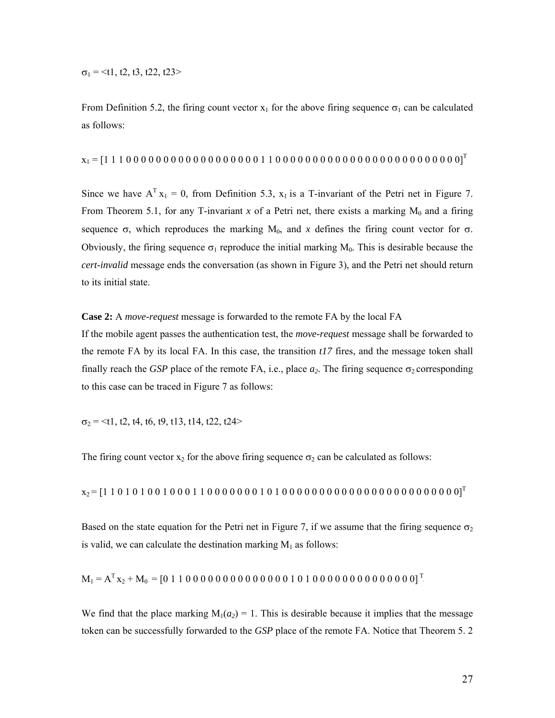$\sigma_1 =$  <t1, t2, t3, t22, t23>

From Definition 5.2, the firing count vector  $x_1$  for the above firing sequence  $\sigma_1$  can be calculated as follows:

## xB <sup>1</sup>B = [1 1 1 0 0 0 0 0 0 0 0 0 0 0 0 0 0 0 0 0 0 1 1 0 0 0 0 0 0 0 0 0 0 0 0 0 0 0 0 0 0 0 0 0 0 0 0 0]<sup>P</sup> T

Since we have  $A^{T} x_1 = 0$ , from Definition 5.3,  $x_1$  is a T-invariant of the Petri net in Figure 7. From Theorem 5.1, for any T-invariant  $x$  of a Petri net, there exists a marking  $M_0$  and a firing sequence  $\sigma$ , which reproduces the marking M<sub>0</sub>, and *x* defines the firing count vector for  $\sigma$ . Obviously, the firing sequence  $\sigma_1$  reproduce the initial marking  $M_0$ . This is desirable because the *cert-invalid* message ends the conversation (as shown in Figure 3), and the Petri net should return to its initial state.

**Case 2:** A *move-request* message is forwarded to the remote FA by the local FA

If the mobile agent passes the authentication test, the *move-request* message shall be forwarded to the remote FA by its local FA. In this case, the transition *t17* fires, and the message token shall finally reach the *GSP* place of the remote FA, i.e., place  $a_2$ . The firing sequence  $\sigma_2$  corresponding to this case can be traced in Figure 7 as follows:

 $\sigma_2$  = <t1, t2, t4, t6, t9, t13, t14, t22, t24>

The firing count vector  $x_2$  for the above firing sequence  $\sigma_2$  can be calculated as follows:

xB <sup>2</sup>B= [1 1 0 1 0 1 0 0 1 0 0 0 1 1 0 0 0 0 0 0 0 1 0 1 0 0 0 0 0 0 0 0 0 0 0 0 0 0 0 0 0 0 0 0 0 0 0 0]<sup>P</sup> T

Based on the state equation for the Petri net in Figure 7, if we assume that the firing sequence  $\sigma_2$ is valid, we can calculate the destination marking  $M_1$  as follows:

MB <sup>1</sup>B = A<sup>P</sup> T P xB <sup>2</sup>B + M<sup>B</sup> <sup>0</sup>B = [0 1 1 0 0 0 0 0 0 0 0 0 0 0 0 0 0 1 0 1 0 0 0 0 0 0 0 0 0 0 0 0 0 0]<sup>P</sup> TPB

We find that the place marking  $M_1(a_2) = 1$ . This is desirable because it implies that the message token can be successfully forwarded to the *GSP* place of the remote FA. Notice that Theorem 5. 2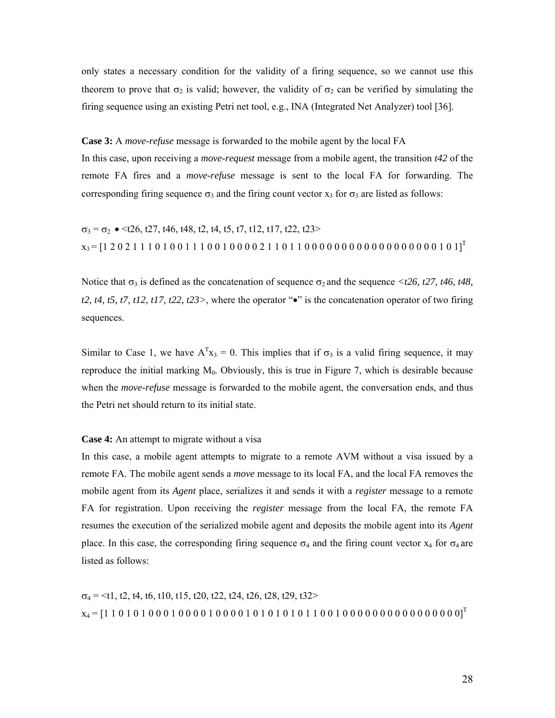only states a necessary condition for the validity of a firing sequence, so we cannot use this theorem to prove that  $\sigma_2$  is valid; however, the validity of  $\sigma_2$  can be verified by simulating the firing sequence using an existing Petri net tool, e.g., INA (Integrated Net Analyzer) tool [36].

**Case 3:** A *move-refuse* message is forwarded to the mobile agent by the local FA

In this case, upon receiving a *move-request* message from a mobile agent, the transition *t42* of the remote FA fires and a *move-refuse* message is sent to the local FA for forwarding. The corresponding firing sequence  $\sigma_3$  and the firing count vector x<sub>3</sub> for  $\sigma_3$  are listed as follows:

# $\sigma_3 = \sigma_2 \bullet \leq t26, t27, t46, t48, t2, t4, t5, t7, t12, t17, t22, t23>$ xB <sup>3</sup>B= [1 2 0 2 1 1 1 0 1 0 0 1 1 1 0 0 1 0 0 0 0 2 1 1 0 1 1 0 0 0 0 0 0 0 0 0 0 0 0 0 0 0 0 0 0 1 0 1]<sup>P</sup> T P

Notice that  $\sigma_3$  is defined as the concatenation of sequence  $\sigma_2$  and the sequence <t26, t27, t46, t48, *t2, t4, t5, t7, t12, t17, t22, t23>*, where the operator " $\bullet$ " is the concatenation operator of two firing sequences.

Similar to Case 1, we have  $A^{T}x_3 = 0$ . This implies that if  $\sigma_3$  is a valid firing sequence, it may reproduce the initial marking  $M_0$ . Obviously, this is true in Figure 7, which is desirable because when the *move-refuse* message is forwarded to the mobile agent, the conversation ends, and thus the Petri net should return to its initial state.

#### **Case 4:** An attempt to migrate without a visa

In this case, a mobile agent attempts to migrate to a remote AVM without a visa issued by a remote FA. The mobile agent sends a *move* message to its local FA, and the local FA removes the mobile agent from its *Agent* place, serializes it and sends it with a *register* message to a remote FA for registration. Upon receiving the *register* message from the local FA, the remote FA resumes the execution of the serialized mobile agent and deposits the mobile agent into its *Agent* place. In this case, the corresponding firing sequence  $\sigma_4$  and the firing count vector  $x_4$  for  $\sigma_4$  are listed as follows:

 $\sigma_4$  = <t1, t2, t4, t6, t10, t15, t20, t22, t24, t26, t28, t29, t32> xB <sup>4</sup>B = [1 1 0 1 0 1 0 0 0 1 0 0 0 0 1 0 0 0 0 1 0 1 0 1 0 1 0 1 1 0 0 1 0 0 0 0 0 0 0 0 0 0 0 0 0 0 0 0]<sup>P</sup> T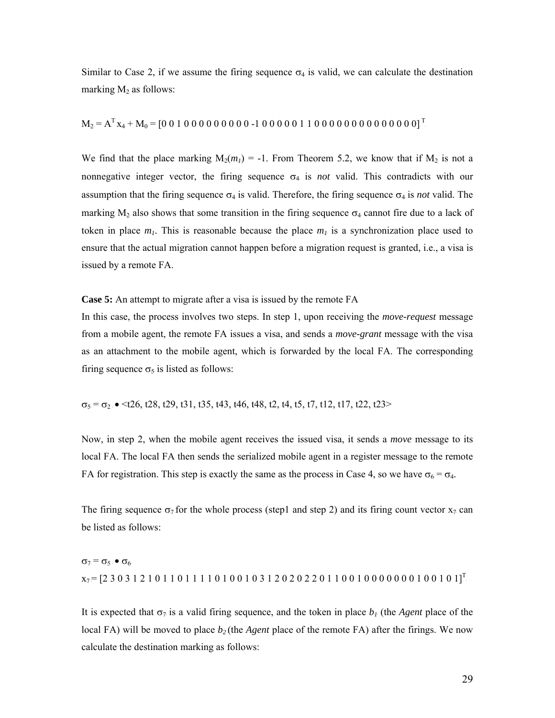Similar to Case 2, if we assume the firing sequence  $\sigma_4$  is valid, we can calculate the destination marking  $M_2$  as follows:

## MB <sup>2</sup>B = A<sup>P</sup> T P xB <sup>4</sup>B + M<sup>B</sup> <sup>0</sup>B = [0 0 1 0 0 0 0 0 0 0 0 0 -1 0 0 0 0 0 1 1 0 0 0 0 0 0 0 0 0 0 0 0 0 0]<sup>P</sup> TP

We find that the place marking  $M_2(m_l) = -1$ . From Theorem 5.2, we know that if  $M_2$  is not a nonnegative integer vector, the firing sequence  $\sigma_4$  is *not* valid. This contradicts with our assumption that the firing sequence  $\sigma_4$  is valid. Therefore, the firing sequence  $\sigma_4$  is *not* valid. The marking  $M_2$  also shows that some transition in the firing sequence  $\sigma_4$  cannot fire due to a lack of token in place  $m_l$ . This is reasonable because the place  $m_l$  is a synchronization place used to ensure that the actual migration cannot happen before a migration request is granted, i.e., a visa is issued by a remote FA.

**Case 5:** An attempt to migrate after a visa is issued by the remote FA

In this case, the process involves two steps. In step 1, upon receiving the *move-request* message from a mobile agent, the remote FA issues a visa, and sends a *move-grant* message with the visa as an attachment to the mobile agent, which is forwarded by the local FA. The corresponding firing sequence  $\sigma_5$  is listed as follows:

 $\sigma_5 = \sigma_2 \bullet \leq t26$ , t28, t29, t31, t35, t43, t46, t48, t2, t4, t5, t7, t12, t17, t22, t23>

Now, in step 2, when the mobile agent receives the issued visa, it sends a *move* message to its local FA. The local FA then sends the serialized mobile agent in a register message to the remote FA for registration. This step is exactly the same as the process in Case 4, so we have  $\sigma_6 = \sigma_4$ .

The firing sequence  $\sigma_7$  for the whole process (step1 and step 2) and its firing count vector  $x_7$  can be listed as follows:

# $\sigma_7 = \sigma_5 \bullet \sigma_6$  $\mathbf{x}_7 = [2 \ 3 \ 0 \ 3 \ 1 \ 2 \ 1 \ 0 \ 1 \ 1 \ 0 \ 1 \ 1 \ 1 \ 0 \ 1 \ 0 \ 0 \ 1 \ 0 \ 3 \ 1 \ 2 \ 0 \ 2 \ 0 \ 2 \ 2 \ 0 \ 1 \ 1 \ 0 \ 0 \ 1 \ 0 \ 0 \ 0 \ 0 \ 0 \ 0 \ 0 \ 1 \ 0 \ 0 \ 1 \ 0 \ 1]^\mathrm{T}$

It is expected that  $\sigma$ <sub>7</sub> is a valid firing sequence, and the token in place  $b<sub>I</sub>$  (the *Agent* place of the local FA) will be moved to place  $b_2$  (the *Agent* place of the remote FA) after the firings. We now calculate the destination marking as follows: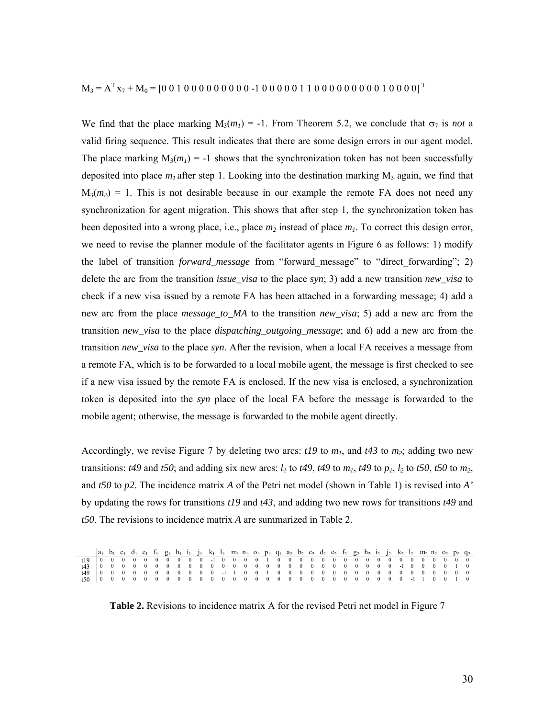## $\mathbf{M}_3 = \mathbf{A}^{\mathrm{T}} \mathbf{x}_7 + \mathbf{M}_0 = [0\ 0\ 1\ 0\ 0\ 0\ 0\ 0\ 0\ 0\ 0\ 1\ 0\ 0\ 0\ 0\ 0\ 1\ 1\ 0\ 0\ 0\ 0\ 0\ 0\ 0\ 0\ 0\ 0\ 0\ 1\ 0\ 0\ 0\ 0]^{\mathrm{T}}$

We find that the place marking  $M_3(m_1) = -1$ . From Theorem 5.2, we conclude that  $\sigma_7$  is *not* a valid firing sequence. This result indicates that there are some design errors in our agent model. The place marking  $M_3(m_l) = -1$  shows that the synchronization token has not been successfully deposited into place  $m_l$  after step 1. Looking into the destination marking  $M_3$  again, we find that  $M_3(m_2) = 1$ . This is not desirable because in our example the remote FA does not need any synchronization for agent migration. This shows that after step 1, the synchronization token has been deposited into a wrong place, i.e., place  $m_2$  instead of place  $m_1$ . To correct this design error, we need to revise the planner module of the facilitator agents in Figure 6 as follows: 1) modify the label of transition *forward\_message* from "forward message" to "direct forwarding"; 2) delete the arc from the transition *issue\_visa* to the place *syn*; 3) add a new transition *new\_visa* to check if a new visa issued by a remote FA has been attached in a forwarding message; 4) add a new arc from the place *message\_to\_MA* to the transition *new\_visa*; 5) add a new arc from the transition *new\_visa* to the place *dispatching\_outgoing\_message*; and 6) add a new arc from the transition *new\_visa* to the place *syn*. After the revision, when a local FA receives a message from a remote FA, which is to be forwarded to a local mobile agent, the message is first checked to see if a new visa issued by the remote FA is enclosed. If the new visa is enclosed, a synchronization token is deposited into the *syn* place of the local FA before the message is forwarded to the mobile agent; otherwise, the message is forwarded to the mobile agent directly.

Accordingly, we revise Figure 7 by deleting two arcs:  $t/9$  to  $m_1$ , and  $t/43$  to  $m_2$ ; adding two new transitions: t49 and t50; and adding six new arcs:  $l_1$  to t49, t49 to  $m_1$ , t49 to  $p_1$ ,  $l_2$  to t50, t50 to  $m_2$ , and *t50* to *p2*. The incidence matrix *A* of the Petri net model (shown in Table 1) is revised into *A'* by updating the rows for transitions *t19* and *t43*, and adding two new rows for transitions *t49* and *t50*. The revisions to incidence matrix *A* are summarized in Table 2.

|  |  |  |  |  |  |  |  |  |  |  |  |  |  | a <sub>1</sub> , b <sub>1</sub> , c <sub>1</sub> , d <sub>1</sub> , e <sub>1</sub> , f <sub>1</sub> , g <sub>1</sub> , h <sub>1</sub> , i <sub>1</sub> , i <sub>1</sub> , k <sub>1</sub> , l <sub>1</sub> , m <sub>1</sub> , n <sub>1</sub> , o <sub>1</sub> , p <sub>1</sub> , q <sub>1</sub> , a <sub>2</sub> , b <sub>2</sub> , c <sub>2</sub> , d <sub>2</sub> , e <sub>2</sub> , f <sub>2</sub> , g <sub>2</sub> , h <sub>2</sub> , i <sub>2</sub> , i <sub>2</sub> , k <sub>2</sub> , l <sub>2</sub> , m <sub>2</sub> , n <sub>2</sub> , o <sub>2</sub> , p <sub>2</sub> , q <sub>2</sub> |  |  |  |
|--|--|--|--|--|--|--|--|--|--|--|--|--|--|-------------------------------------------------------------------------------------------------------------------------------------------------------------------------------------------------------------------------------------------------------------------------------------------------------------------------------------------------------------------------------------------------------------------------------------------------------------------------------------------------------------------------------------------------------------------------------------------------|--|--|--|
|  |  |  |  |  |  |  |  |  |  |  |  |  |  |                                                                                                                                                                                                                                                                                                                                                                                                                                                                                                                                                                                                 |  |  |  |
|  |  |  |  |  |  |  |  |  |  |  |  |  |  |                                                                                                                                                                                                                                                                                                                                                                                                                                                                                                                                                                                                 |  |  |  |
|  |  |  |  |  |  |  |  |  |  |  |  |  |  |                                                                                                                                                                                                                                                                                                                                                                                                                                                                                                                                                                                                 |  |  |  |
|  |  |  |  |  |  |  |  |  |  |  |  |  |  |                                                                                                                                                                                                                                                                                                                                                                                                                                                                                                                                                                                                 |  |  |  |

**Table 2.** Revisions to incidence matrix A for the revised Petri net model in Figure 7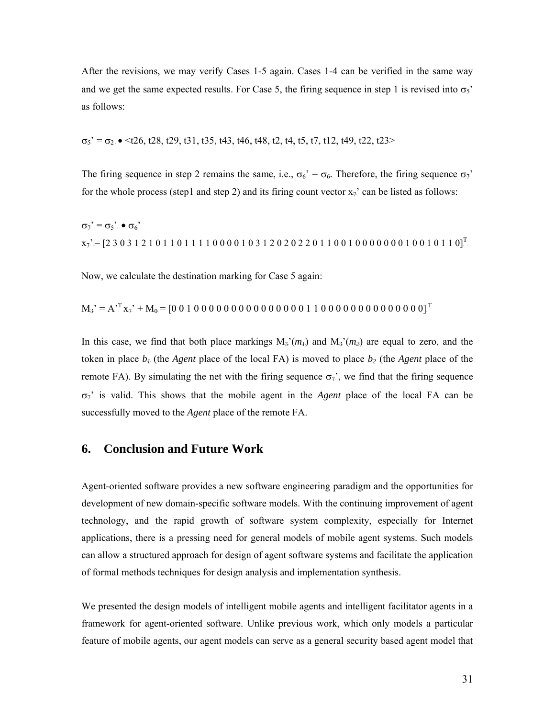After the revisions, we may verify Cases 1-5 again. Cases 1-4 can be verified in the same way and we get the same expected results. For Case 5, the firing sequence in step 1 is revised into  $\sigma_5$ ' as follows:

 $\sigma_5' = \sigma_2 \bullet \leq t26$ , t28, t29, t31, t35, t43, t46, t48, t2, t4, t5, t7, t12, t49, t22, t23>

The firing sequence in step 2 remains the same, i.e.,  $\sigma_6' = \sigma_6$ . Therefore, the firing sequence  $\sigma_7$ ' for the whole process (step1 and step 2) and its firing count vector  $x_7$ ' can be listed as follows:

$$
\sigma_7 = \sigma_5 \cdot \bullet \sigma_6
$$
\n
$$
x_7 = [2\ 3\ 0\ 3\ 1\ 2\ 1\ 0\ 1\ 1\ 0\ 1\ 1\ 1\ 1\ 0\ 0\ 0\ 0\ 1\ 0\ 3\ 1\ 2\ 0\ 2\ 0\ 2\ 2\ 0\ 1\ 1\ 0\ 0\ 1\ 0\ 0\ 0\ 0\ 0\ 0\ 1\ 0\ 0\ 1\ 0\ 1\ 1\ 0]^T
$$

Now, we calculate the destination marking for Case 5 again:

MB <sup>3</sup>B' = A'<sup>P</sup> T xB <sup>7</sup>B' + M<sup>B</sup> <sup>0</sup>B = [0 0 1 0 0 0 0 0 0 0 0 0 0 0 0 0 0 0 1 1 0 0 0 0 0 0 0 0 0 0 0 0 0 0]<sup>P</sup> T

In this case, we find that both place markings  $M_3'(m_1)$  and  $M_3'(m_2)$  are equal to zero, and the token in place  $b<sub>I</sub>$  (the *Agent* place of the local FA) is moved to place  $b<sub>2</sub>$  (the *Agent* place of the remote FA). By simulating the net with the firing sequence  $\sigma$ <sup>7</sup>, we find that the firing sequence σ<sub>7</sub>' is valid. This shows that the mobile agent in the *Agent* place of the local FA can be successfully moved to the *Agent* place of the remote FA.

## **6. Conclusion and Future Work**

Agent-oriented software provides a new software engineering paradigm and the opportunities for development of new domain-specific software models. With the continuing improvement of agent technology, and the rapid growth of software system complexity, especially for Internet applications, there is a pressing need for general models of mobile agent systems. Such models can allow a structured approach for design of agent software systems and facilitate the application of formal methods techniques for design analysis and implementation synthesis.

We presented the design models of intelligent mobile agents and intelligent facilitator agents in a framework for agent-oriented software. Unlike previous work, which only models a particular feature of mobile agents, our agent models can serve as a general security based agent model that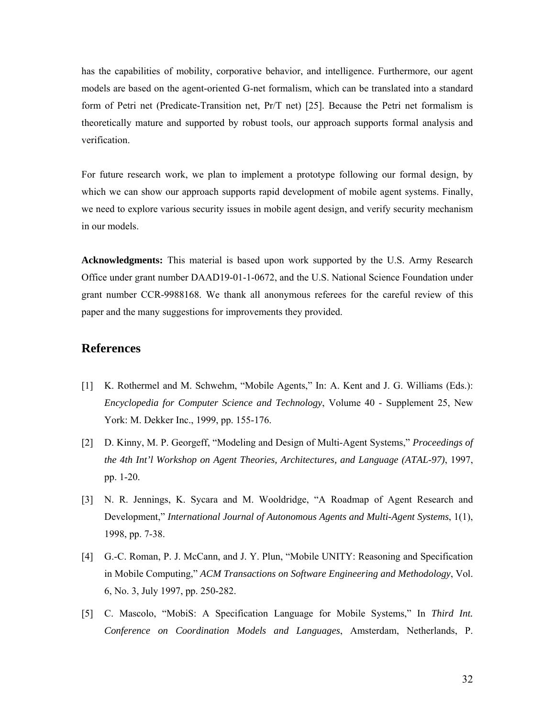has the capabilities of mobility, corporative behavior, and intelligence. Furthermore, our agent models are based on the agent-oriented G-net formalism, which can be translated into a standard form of Petri net (Predicate-Transition net, Pr/T net) [25]. Because the Petri net formalism is theoretically mature and supported by robust tools, our approach supports formal analysis and verification.

For future research work, we plan to implement a prototype following our formal design, by which we can show our approach supports rapid development of mobile agent systems. Finally, we need to explore various security issues in mobile agent design, and verify security mechanism in our models.

**Acknowledgments:** This material is based upon work supported by the U.S. Army Research Office under grant number DAAD19-01-1-0672, and the U.S. National Science Foundation under grant number CCR-9988168. We thank all anonymous referees for the careful review of this paper and the many suggestions for improvements they provided.

## **References**

- [1] K. Rothermel and M. Schwehm, "Mobile Agents," In: A. Kent and J. G. Williams (Eds.): *Encyclopedia for Computer Science and Technology*, Volume 40 - Supplement 25, New York: M. Dekker Inc., 1999, pp. 155-176.
- [2] D. Kinny, M. P. Georgeff, "Modeling and Design of Multi-Agent Systems," *Proceedings of the 4th Int'l Workshop on Agent Theories, Architectures, and Language (ATAL-97)*, 1997, pp. 1-20.
- [3] N. R. Jennings, K. Sycara and M. Wooldridge, "A Roadmap of Agent Research and Development," *International Journal of Autonomous Agents and Multi-Agent Systems*, 1(1), 1998, pp. 7-38.
- [4] G.-C. Roman, P. J. McCann, and J. Y. Plun, "Mobile UNITY: Reasoning and Specification in Mobile Computing," *ACM Transactions on Software Engineering and Methodology*, Vol. 6, No. 3, July 1997, pp. 250-282.
- [5] C. Mascolo, "MobiS: A Specification Language for Mobile Systems," In *Third Int. Conference on Coordination Models and Languages*, Amsterdam, Netherlands, P.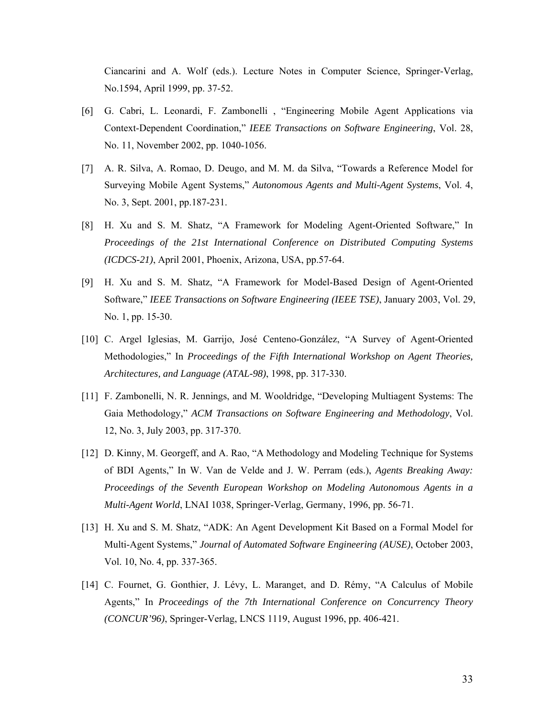Ciancarini and A. Wolf (eds.). Lecture Notes in Computer Science, Springer-Verlag, No.1594, April 1999, pp. 37-52.

- [6] G. Cabri, L. Leonardi, F. Zambonelli , "Engineering Mobile Agent Applications via Context-Dependent Coordination," *IEEE Transactions on Software Engineering*, Vol. 28, No. 11, November 2002, pp. 1040-1056.
- [7] A. R. Silva, A. Romao, D. Deugo, and M. M. da Silva, "Towards a Reference Model for Surveying Mobile Agent Systems," *Autonomous Agents and Multi-Agent Systems*, Vol. 4, No. 3, Sept. 2001, pp.187-231.
- [8] H. Xu and S. M. Shatz, "A Framework for Modeling Agent-Oriented Software," In *Proceedings of the 21st International Conference on Distributed Computing Systems (ICDCS-21)*, April 2001, Phoenix, Arizona, USA, pp.57-64.
- [9] H. Xu and S. M. Shatz, "A Framework for Model-Based Design of Agent-Oriented Software," *IEEE Transactions on Software Engineering (IEEE TSE)*, January 2003, Vol. 29, No. 1, pp. 15-30.
- [10] C. Argel Iglesias, M. Garrijo, José Centeno-González, "A Survey of Agent-Oriented Methodologies," In *Proceedings of the Fifth International Workshop on Agent Theories, Architectures, and Language (ATAL-98)*, 1998, pp. 317-330.
- [11] F. Zambonelli, N. R. Jennings, and M. Wooldridge, "Developing Multiagent Systems: The Gaia Methodology," *ACM Transactions on Software Engineering and Methodology*, Vol. 12, No. 3, July 2003, pp. 317-370.
- [12] D. Kinny, M. Georgeff, and A. Rao, "A Methodology and Modeling Technique for Systems of BDI Agents," In W. Van de Velde and J. W. Perram (eds.), *Agents Breaking Away: Proceedings of the Seventh European Workshop on Modeling Autonomous Agents in a Multi-Agent World*, LNAI 1038, Springer-Verlag, Germany, 1996, pp. 56-71.
- [13] H. Xu and S. M. Shatz, "ADK: An Agent Development Kit Based on a Formal Model for Multi-Agent Systems," *Journal of Automated Software Engineering (AUSE)*, October 2003, Vol. 10, No. 4, pp. 337-365.
- [14] C. Fournet, G. Gonthier, J. Lévy, L. Maranget, and D. Rémy, "A Calculus of Mobile Agents," In *Proceedings of the 7th International Conference on Concurrency Theory (CONCUR'96)*, Springer-Verlag, LNCS 1119, August 1996, pp. 406-421.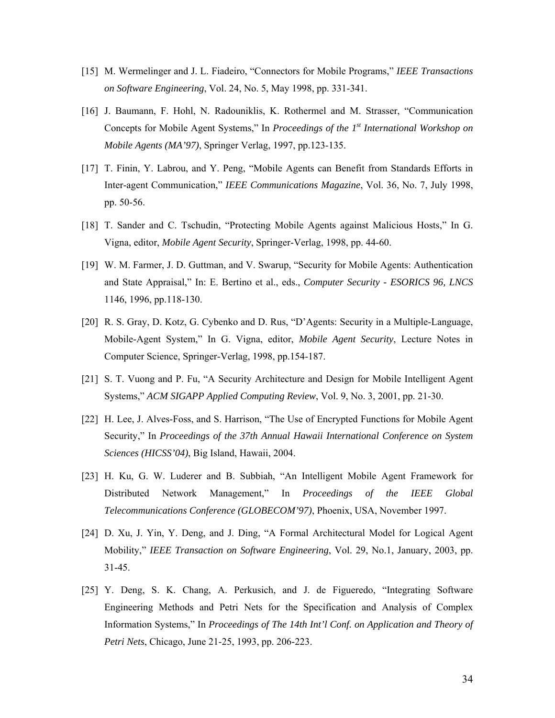- [15] M. Wermelinger and J. L. Fiadeiro, "Connectors for Mobile Programs," *IEEE Transactions on Software Engineering*, Vol. 24, No. 5, May 1998, pp. 331-341.
- [16] J. Baumann, F. Hohl, N. Radouniklis, K. Rothermel and M. Strasser, "Communication Concepts for Mobile Agent Systems," In *Proceedings of the 1<sup>st</sup> International Workshop on Mobile Agents (MA'97)*, Springer Verlag, 1997, pp.123-135.
- [17] T. Finin, Y. Labrou, and Y. Peng, "Mobile Agents can Benefit from Standards Efforts in Inter-agent Communication," *IEEE Communications Magazine*, Vol. 36, No. 7, July 1998, pp. 50-56.
- [18] T. Sander and C. Tschudin, "Protecting Mobile Agents against Malicious Hosts," In G. Vigna, editor, *Mobile Agent Security*, Springer-Verlag, 1998, pp. 44-60.
- [19] W. M. Farmer, J. D. Guttman, and V. Swarup, "Security for Mobile Agents: Authentication and State Appraisal," In: E. Bertino et al., eds., *Computer Security - ESORICS 96, LNCS* 1146, 1996, pp.118-130.
- [20] R. S. Gray, D. Kotz, G. Cybenko and D. Rus, "D'Agents: Security in a Multiple-Language, Mobile-Agent System," In G. Vigna, editor, *Mobile Agent Security*, Lecture Notes in Computer Science, Springer-Verlag, 1998, pp.154-187.
- [21] S. T. Vuong and P. Fu, "A Security Architecture and Design for Mobile Intelligent Agent Systems," *ACM SIGAPP Applied Computing Review*, Vol. 9, No. 3, 2001, pp. 21-30.
- [22] H. Lee, J. Alves-Foss, and S. Harrison, "The Use of Encrypted Functions for Mobile Agent Security," In *Proceedings of the 37th Annual Hawaii International Conference on System Sciences (HICSS'04)*, Big Island, Hawaii, 2004.
- [23] H. Ku, G. W. Luderer and B. Subbiah, "An Intelligent Mobile Agent Framework for Distributed Network Management," In *Proceedings of the IEEE Global Telecommunications Conference (GLOBECOM'97)*, Phoenix, USA, November 1997.
- [24] D. Xu, J. Yin, Y. Deng, and J. Ding, "A Formal Architectural Model for Logical Agent Mobility," *IEEE Transaction on Software Engineering*, Vol. 29, No.1, January, 2003, pp. 31-45.
- [25] Y. Deng, S. K. Chang, A. Perkusich, and J. de Figueredo, "Integrating Software Engineering Methods and Petri Nets for the Specification and Analysis of Complex Information Systems," In *Proceedings of The 14th Int'l Conf. on Application and Theory of Petri Nets*, Chicago, June 21-25, 1993, pp. 206-223.